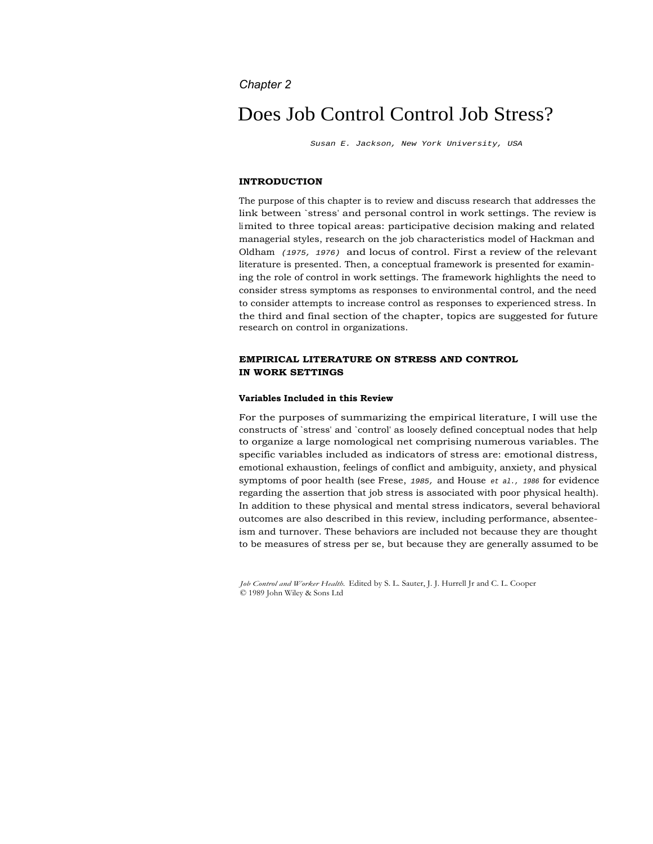# *Chapter 2*

# Does Job Control Control Job Stress?

Susan E. Jackson, New York University, USA

# **INTRODUCTION**

The purpose of this chapter is to review and discuss research that addresses the link between `stress' and personal control in work settings. The review is limited to three topical areas: participative decision making and related managerial styles, research on the job characteristics model of Hackman and Oldham  $(1975, 1976)$  and locus of control. First a review of the relevant literature is presented. Then, a conceptual framework is presented for examining the role of control in work settings. The framework highlights the need to consider stress symptoms as responses to environmental control, and the need to consider attempts to increase control as responses to experienced stress. In the third and final section of the chapter, topics are suggested for future research on control in organizations.

# **EMPIRICAL LITERATURE ON STRESS AND CONTROL IN WORK SETTINGS**

#### **Variables Included in this Review**

For the purposes of summarizing the empirical literature, I will use the constructs of `stress' and `control' as loosely defined conceptual nodes that help to organize a large nomological net comprising numerous variables. The specific variables included as indicators of stress are: emotional distress, emotional exhaustion, feelings of conflict and ambiguity, anxiety, and physical symptoms of poor health (see Frese, 1985, and House et al., 1986 for evidence regarding the assertion that job stress is associated with poor physical health). In addition to these physical and mental stress indicators, several behavioral outcomes are also described in this review, including performance, absenteeism and turnover. These behaviors are included not because they are thought to be measures of stress per se, but because they are generally assumed to be

*Job Control and Worker Health.* Edited by S. L. Sauter, J. J. Hurrell Jr and C. L. Cooper © 1989 John Wiley & Sons Ltd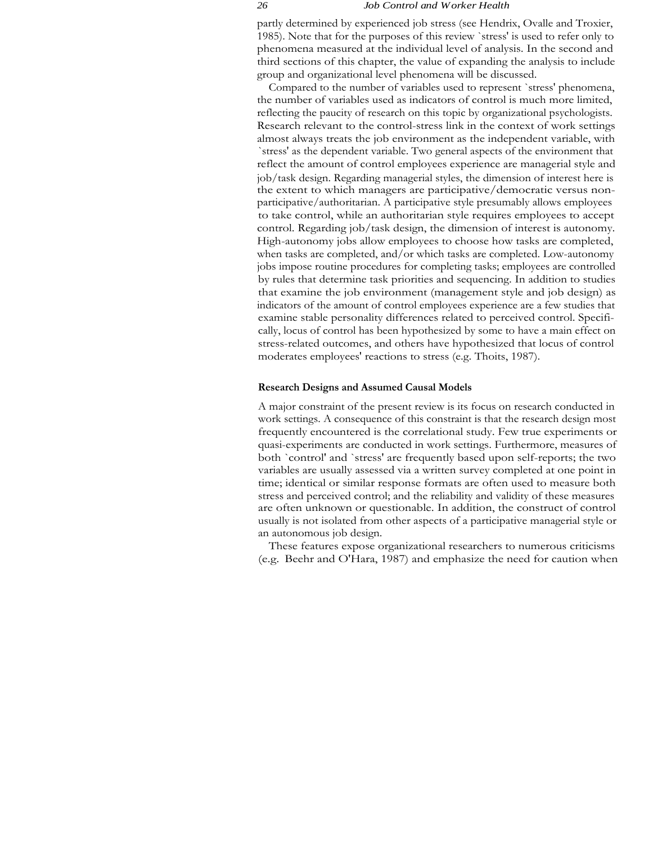partly determined by experienced job stress (see Hendrix, Ovalle and Troxier, 1985). Note that for the purposes of this review `stress' is used to refer only to phenomena measured at the individual level of analysis. In the second and third sections of this chapter, the value of expanding the analysis to include group and organizational level phenomena will be discussed.

Compared to the number of variables used to represent `stress' phenomena, the number of variables used as indicators of control is much more limited, reflecting the paucity of research on this topic by organizational psychologists. Research relevant to the control-stress link in the context of work settings almost always treats the job environment as the independent variable, with `stress' as the dependent variable. Two general aspects of the environment that reflect the amount of control employees experience are managerial style and job/task design. Regarding managerial styles, the dimension of interest here is the extent to which managers are participative/democratic versus nonparticipative/authoritarian. A participative style presumably allows employees to take control, while an authoritarian style requires employees to accept control. Regarding job/task design, the dimension of interest is autonomy. High-autonomy jobs allow employees to choose how tasks are completed, when tasks are completed, and/or which tasks are completed. Low-autonomy jobs impose routine procedures for completing tasks; employees are controlled by rules that determine task priorities and sequencing. In addition to studies that examine the job environment (management style and job design) as indicators of the amount of control employees experience are a few studies that examine stable personality differences related to perceived control. Specifically, locus of control has been hypothesized by some to have a main effect on stress-related outcomes, and others have hypothesized that locus of control moderates employees' reactions to stress (e.g. Thoits, 1987).

#### **Research Designs and Assumed Causal Models**

A major constraint of the present review is its focus on research conducted in work settings. A consequence of this constraint is that the research design most frequently encountered is the correlational study. Few true experiments or quasi-experiments are conducted in work settings. Furthermore, measures of both `control' and `stress' are frequently based upon self-reports; the two variables are usually assessed via a written survey completed at one point in time; identical or similar response formats are often used to measure both stress and perceived control; and the reliability and validity of these measures are often unknown or questionable. In addition, the construct of control usually is not isolated from other aspects of a participative managerial style or an autonomous job design.

These features expose organizational researchers to numerous criticisms (e.g. Beehr and O'Hara, 1987) and emphasize the need for caution when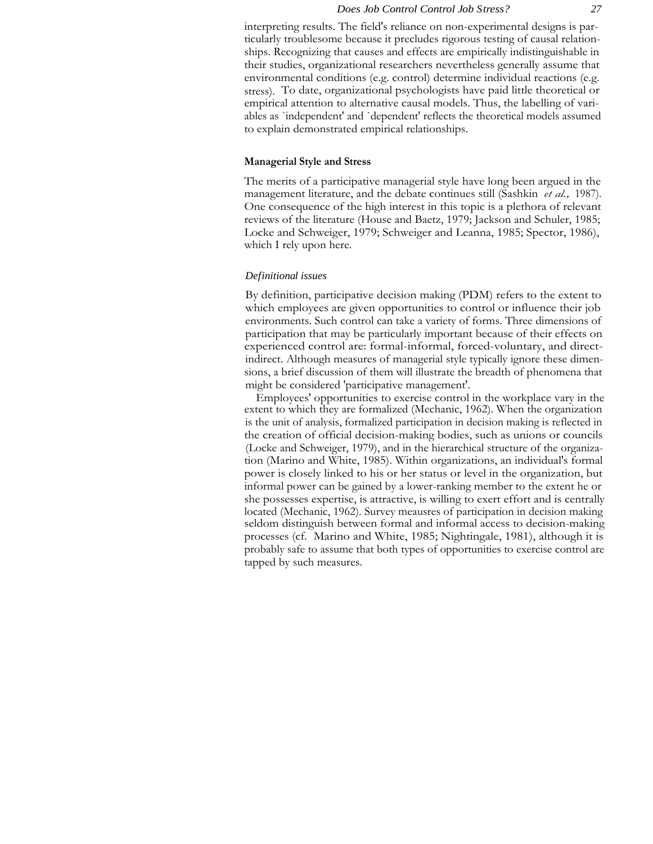interpreting results. The field's reliance on non-experimental designs is particularly troublesome because it precludes rigorous testing of causal relationships. Recognizing that causes and effects are empirically indistinguishable in their studies, organizational researchers nevertheless generally assume that environmental conditions (e.g. control) determine individual reactions (e.g. stress). To date, organizational psychologists have paid little theoretical or empirical attention to alternative causal models. Thus, the labelling of variables as `independent' and `dependent' reflects the theoretical models assumed to explain demonstrated empirical relationships.

# **Managerial Style and Stress**

The merits of a participative managerial style have long been argued in the management literature, and the debate continues still (Sashkin *et al.,* 1987). One consequence of the high interest in this topic is a plethora of relevant reviews of the literature (House and Baetz, 1979; Jackson and Schuler, 1985; Locke and Schweiger, 1979; Schweiger and Leanna, 1985; Spector, 1986), which I rely upon here.

#### *Definitional issues*

By definition, participative decision making (PDM) refers to the extent to which employees are given opportunities to control or influence their job environments. Such control can take a variety of forms. Three dimensions of participation that may be particularly important because of their effects on experienced control are: formal-informal, forced-voluntary, and directindirect. Although measures of managerial style typically ignore these dimensions, a brief discussion of them will illustrate the breadth of phenomena that might be considered 'participative management'.

Employees' opportunities to exercise control in the workplace vary in the extent to which they are formalized (Mechanic, 1962). When the organization is the unit of analysis, formalized participation in decision making is reflected in the creation of official decision-making bodies, such as unions or councils (Locke and Schweiger, 1979), and in the hierarchical structure of the organization (Marino and White, 1985). Within organizations, an individual's formal power is closely linked to his or her status or level in the organization, but informal power can be gained by a lower-ranking member to the extent he or she possesses expertise, is attractive, is willing to exert effort and is centrally located (Mechanic, 1962). Survey meausres of participation in decision making seldom distinguish between formal and informal access to decision-making processes (cf. Marino and White, 1985; Nightingale, 1981), although it is probably safe to assume that both types of opportunities to exercise control are tapped by such measures.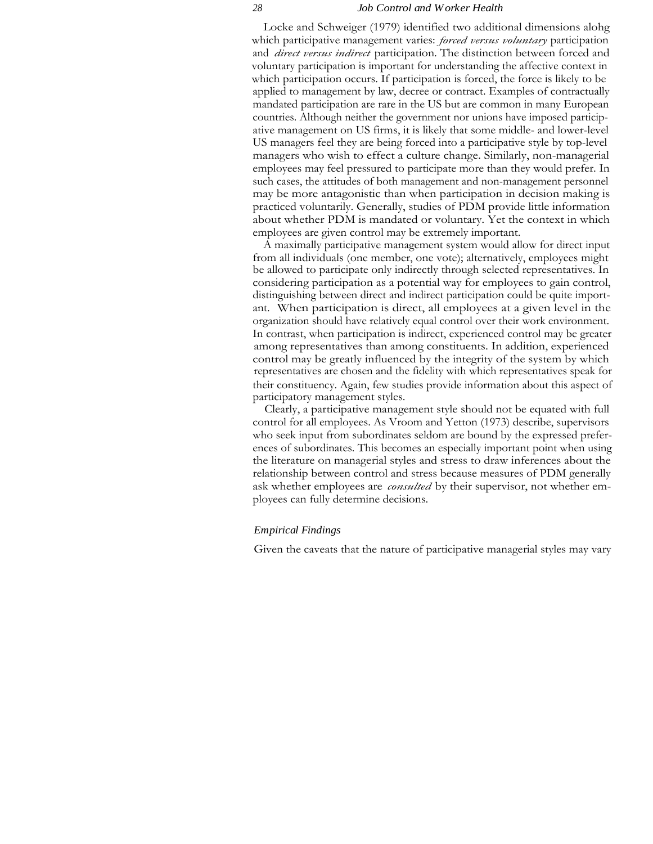Locke and Schweiger (1979) identified two additional dimensions alohg which participative management varies: *forced versus voluntary* participation and *direct versus indirect* participation. The distinction between forced and voluntary participation is important for understanding the affective context in which participation occurs. If participation is forced, the force is likely to be applied to management by law, decree or contract. Examples of contractually mandated participation are rare in the US but are common in many European countries. Although neither the government nor unions have imposed participative management on US firms, it is likely that some middle- and lower-level US managers feel they are being forced into a participative style by top-level managers who wish to effect a culture change. Similarly, non-managerial employees may feel pressured to participate more than they would prefer. In such cases, the attitudes of both management and non-management personnel may be more antagonistic than when participation in decision making is practiced voluntarily. Generally, studies of PDM provide little information about whether PDM is mandated or voluntary. Yet the context in which employees are given control may be extremely important.

A maximally participative management system would allow for direct input from all individuals (one member, one vote); alternatively, employees might be allowed to participate only indirectly through selected representatives. In considering participation as a potential way for employees to gain control, distinguishing between direct and indirect participation could be quite important. When participation is direct, all employees at a given level in the organization should have relatively equal control over their work environment. In contrast, when participation is indirect, experienced control may be greater among representatives than among constituents. In addition, experienced control may be greatly influenced by the integrity of the system by which representatives are chosen and the fidelity with which representatives speak for their constituency. Again, few studies provide information about this aspect of participatory management styles.

Clearly, a participative management style should not be equated with full control for all employees. As Vroom and Yetton (1973) describe, supervisors who seek input from subordinates seldom are bound by the expressed preferences of subordinates. This becomes an especially important point when using the literature on managerial styles and stress to draw inferences about the relationship between control and stress because measures of PDM generally ask whether employees are *consulted* by their supervisor, not whether employees can fully determine decisions.

# *Empirical Findings*

Given the caveats that the nature of participative managerial styles may vary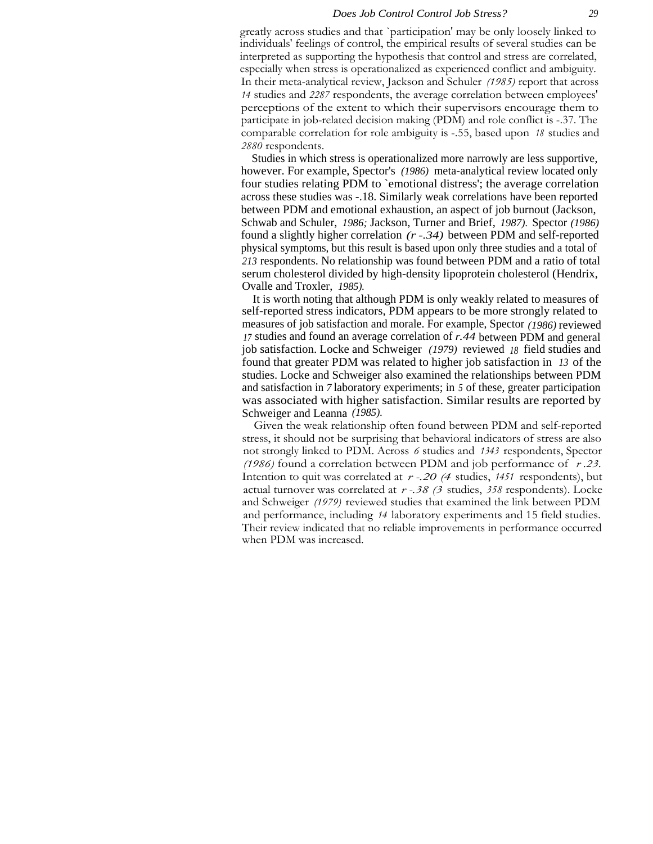greatly across studies and that `participation' may be only loosely linked to individuals' feelings of control, the empirical results of several studies can be interpreted as supporting the hypothesis that control and stress are correlated, especially when stress is operationalized as experienced conflict and ambiguity. In their meta-analytical review, Jackson and Schuler *(1985)* report that across *14* studies and *2287* respondents, the average correlation between employees' perceptions of the extent to which their supervisors encourage them to participate in job-related decision making (PDM) and role conflict is -.37. The comparable correlation for role ambiguity is -.55, based upon *18* studies and *2880* respondents.

Studies in which stress is operationalized more narrowly are less supportive, however. For example, Spector's *(1986)* meta-analytical review located only four studies relating PDM to `emotional distress'; the average correlation across these studies was -.18. Similarly weak correlations have been reported between PDM and emotional exhaustion, an aspect of job burnout (Jackson, Schwab and Schuler, *1986;* Jackson, Turner and Brief, *1987).* Spector *(1986)* found a slightly higher correlation *(r -.34)* between PDM and self-reported physical symptoms, but this result is based upon only three studies and a total of *213* respondents. No relationship was found between PDM and a ratio of total serum cholesterol divided by high-density lipoprotein cholesterol (Hendrix, Ovalle and Troxler, *1985).*

It is worth noting that although PDM is only weakly related to measures of self-reported stress indicators, PDM appears to be more strongly related to measures of job satisfaction and morale. For example, Spector *(1986)* reviewed *<sup>17</sup>* studies and found an average correlation of *r.44* between PDM and general job satisfaction. Locke and Schweiger *(1979)* reviewed *<sup>18</sup>* field studies and found that greater PDM was related to higher job satisfaction in *13* of the studies. Locke and Schweiger also examined the relationships between PDM and satisfaction in *7* laboratory experiments; in *5* of these, greater participation was associated with higher satisfaction. Similar results are reported by Schweiger and Leanna *(1985).*

Given the weak relationship often found between PDM and self-reported stress, it should not be surprising that behavioral indicators of stress are also not strongly linked to PDM. Across *6* studies and *1343* respondents, Spector *(1986)* found a correlation between PDM and job performance of *r .23.* Intention to quit was correlated at *r -.20 (4* studies, *<sup>1451</sup>* respondents), but actual turnover was correlated at *r -.38 (3* studies, *358* respondents). Locke and Schweiger *(1979)* reviewed studies that examined the link between PDM and performance, including *14* laboratory experiments and 15 field studies. Their review indicated that no reliable improvements in performance occurred when PDM was increased.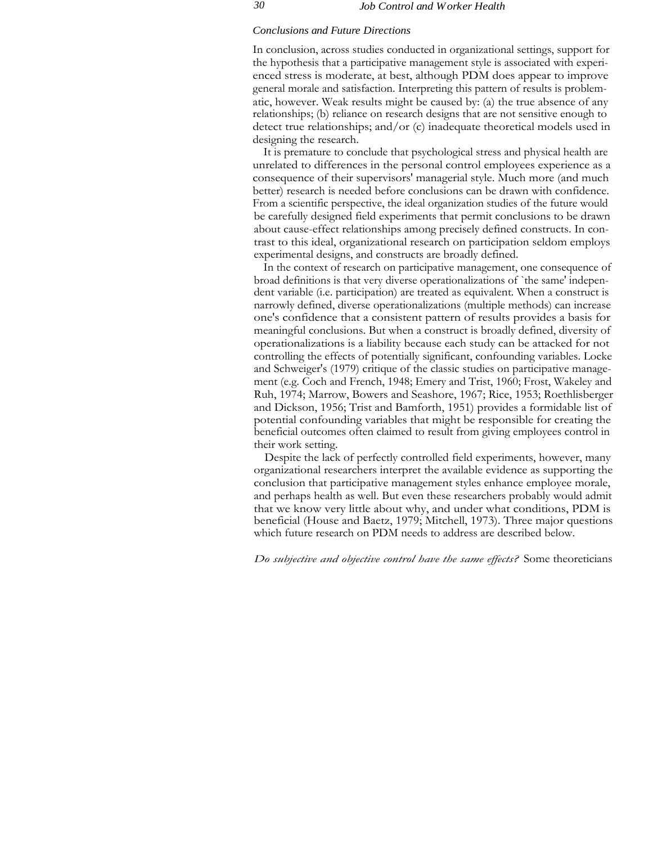#### *Conclusions and Future Directions*

In conclusion, across studies conducted in organizational settings, support for the hypothesis that a participative management style is associated with experienced stress is moderate, at best, although PDM does appear to improve general morale and satisfaction. Interpreting this pattern of results is problematic, however. Weak results might be caused by: (a) the true absence of any relationships; (b) reliance on research designs that are not sensitive enough to detect true relationships; and/or (c) inadequate theoretical models used in designing the research.

It is premature to conclude that psychological stress and physical health are unrelated to differences in the personal control employees experience as a consequence of their supervisors' managerial style. Much more (and much better) research is needed before conclusions can be drawn with confidence. From a scientific perspective, the ideal organization studies of the future would be carefully designed field experiments that permit conclusions to be drawn about cause-effect relationships among precisely defined constructs. In contrast to this ideal, organizational research on participation seldom employs experimental designs, and constructs are broadly defined.

In the context of research on participative management, one consequence of broad definitions is that very diverse operationalizations of `the same' independent variable (i.e. participation) are treated as equivalent. When a construct is narrowly defined, diverse operationalizations (multiple methods) can increase one's confidence that a consistent pattern of results provides a basis for meaningful conclusions. But when a construct is broadly defined, diversity of operationalizations is a liability because each study can be attacked for not controlling the effects of potentially significant, confounding variables. Locke and Schweiger's (1979) critique of the classic studies on participative management (e.g. Coch and French, 1948; Emery and Trist, 1960; Frost, Wakeley and Ruh, 1974; Marrow, Bowers and Seashore, 1967; Rice, 1953; Roethlisberger and Dickson, 1956; Trist and Bamforth, 1951) provides a formidable list of potential confounding variables that might be responsible for creating the beneficial outcomes often claimed to result from giving employees control in their work setting.

Despite the lack of perfectly controlled field experiments, however, many organizational researchers interpret the available evidence as supporting the conclusion that participative management styles enhance employee morale, and perhaps health as well. But even these researchers probably would admit that we know very little about why, and under what conditions, PDM is beneficial (House and Baetz, 1979; Mitchell, 1973). Three major questions which future research on PDM needs to address are described below.

*Do subjective and objective control have the same effects?* Some theoreticians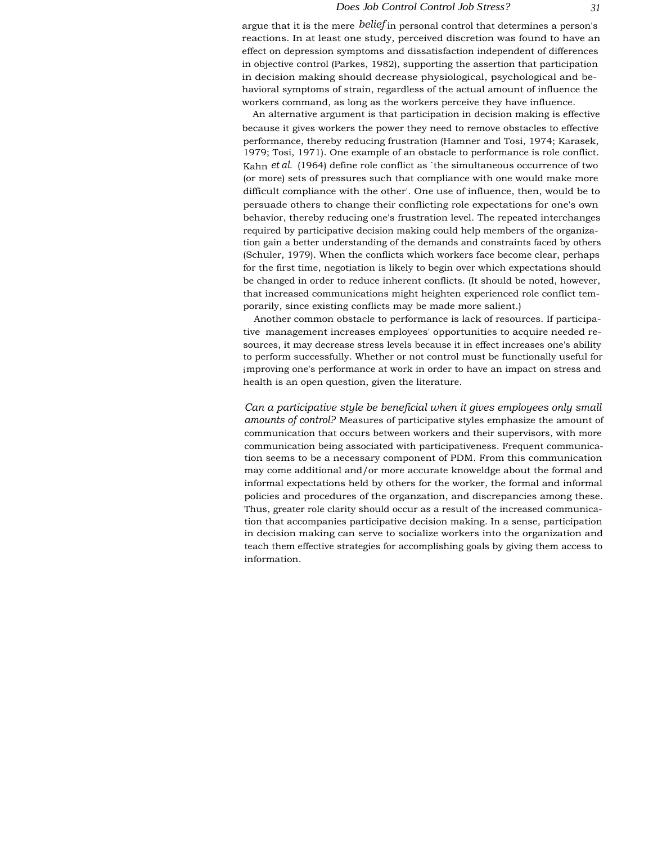argue that it is the mere *belief* in personal control that determines a person's reactions. In at least one study, perceived discretion was found to have an effect on depression symptoms and dissatisfaction independent of differences in objective control (Parkes, 1982), supporting the assertion that participation in decision making should decrease physiological, psychological and behavioral symptoms of strain, regardless of the actual amount of influence the workers command, as long as the workers perceive they have influence.

An alternative argument is that participation in decision making is effective because it gives workers the power they need to remove obstacles to effective performance, thereby reducing frustration (Hamner and Tosi, 1974; Karasek, 1979; Tosi, 1971). One example of an obstacle to performance is role conflict. Kahn *et al.* (1964) define role conflict as `the simultaneous occurrence of two (or more) sets of pressures such that compliance with one would make more difficult compliance with the other'. One use of influence, then, would be to persuade others to change their conflicting role expectations for one's own behavior, thereby reducing one's frustration level. The repeated interchanges required by participative decision making could help members of the organization gain a better understanding of the demands and constraints faced by others (Schuler, 1979). When the conflicts which workers face become clear, perhaps for the first time, negotiation is likely to begin over which expectations should be changed in order to reduce inherent conflicts. (It should be noted, however, that increased communications might heighten experienced role conflict temporarily, since existing conflicts may be made more salient.)

Another common obstacle to performance is lack of resources. If participative management increases employees' opportunities to acquire needed resources, it may decrease stress levels because it in effect increases one's ability to perform successfully. Whether or not control must be functionally useful for improving one's performance at work in order to have an impact on stress and health is an open question, given the literature.

*Can a participative style be beneficial when it gives employees only small amounts of control?* Measures of participative styles emphasize the amount of communication that occurs between workers and their supervisors, with more communication being associated with participativeness. Frequent communication seems to be a necessary component of PDM. From this communication may come additional and/or more accurate knoweldge about the formal and informal expectations held by others for the worker, the formal and informal policies and procedures of the organzation, and discrepancies among these. Thus, greater role clarity should occur as a result of the increased communication that accompanies participative decision making. In a sense, participation in decision making can serve to socialize workers into the organization and teach them effective strategies for accomplishing goals by giving them access to information.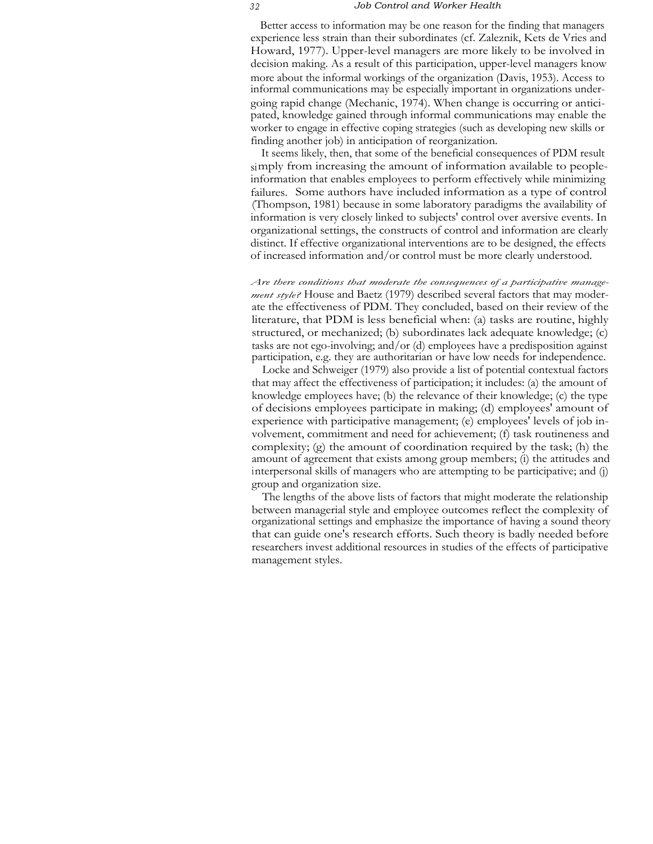Better access to information may be one reason for the finding that managers experience less strain than their subordinates (cf. Zaleznik, Kets de Vries and Howard, 1977). Upper-level managers are more likely to be involved in decision making. As a result of this participation, upper-level managers know more about the informal workings of the organization (Davis, 1953). Access to informal communications may be especially important in organizations undergoing rapid change (Mechanic, 1974). When change is occurring or anticipated, knowledge gained through informal communications may enable the worker to engage in effective coping strategies (such as developing new skills or finding another job) in anticipation of reorganization.

It seems likely, then, that some of the beneficial consequences of PDM result simply from increasing the amount of information available to peopleinformation that enables employees to perform effectively while minimizing failures. Some authors have included information as a type of control (Thompson, 1981) because in some laboratory paradigms the availability of information is very closely linked to subjects' control over aversive events. In organizational settings, the constructs of control and information are clearly distinct. If effective organizational interventions are to be designed, the effects of increased information and/or control must be more clearly understood.

*Are there conditions that moderate the consequences of a participative management style?* House and Baetz (1979) described several factors that may moderate the effectiveness of PDM. They concluded, based on their review of the literature, that PDM is less beneficial when: (a) tasks are routine, highly structured, or mechanized; (b) subordinates lack adequate knowledge; (c) tasks are not ego-involving; and/or (d) employees have a predisposition against participation, e.g. they are authoritarian or have low needs for independence.

Locke and Schweiger (1979) also provide a list of potential contextual factors that may affect the effectiveness of participation; it includes: (a) the amount of knowledge employees have; (b) the relevance of their knowledge; (c) the type of decisions employees participate in making; (d) employees' amount of experience with participative management; (e) employees' levels of job involvement, commitment and need for achievement; (f) task routineness and complexity; (g) the amount of coordination required by the task; (h) the amount of agreement that exists among group members; (i) the attitudes and interpersonal skills of managers who are attempting to be participative; and (j) group and organization size.

The lengths of the above lists of factors that might moderate the relationship between managerial style and employee outcomes reflect the complexity of organizational settings and emphasize the importance of having a sound theory that can guide one's research efforts. Such theory is badly needed before researchers invest additional resources in studies of the effects of participative management styles.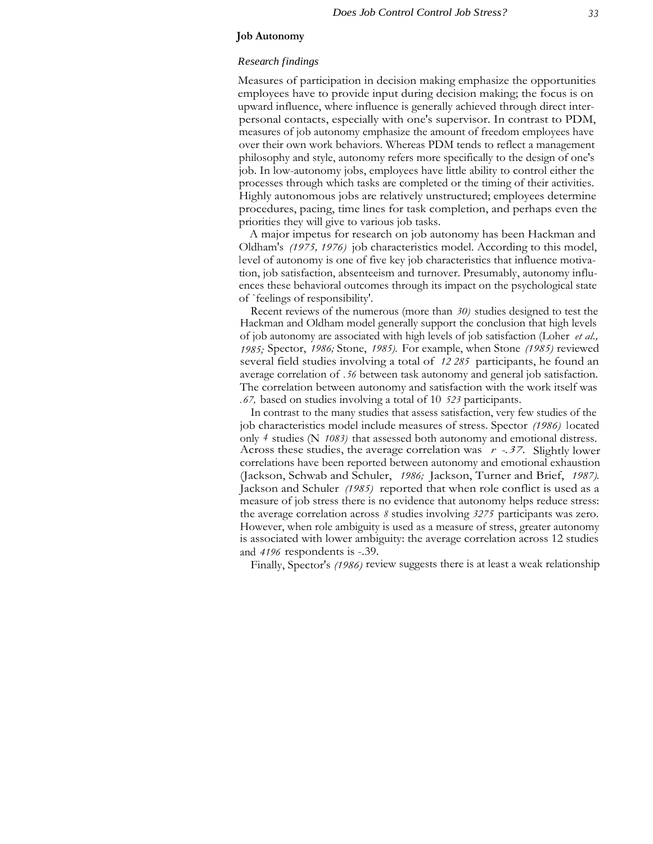# **Job Autonomy**

# *Research findings*

Measures of participation in decision making emphasize the opportunities employees have to provide input during decision making; the focus is on upward influence, where influence is generally achieved through direct interpersonal contacts, especially with one's supervisor. In contrast to PDM, measures of job autonomy emphasize the amount of freedom employees have over their own work behaviors. Whereas PDM tends to reflect a management philosophy and style, autonomy refers more specifically to the design of one's job. In low-autonomy jobs, employees have little ability to control either the processes through which tasks are completed or the timing of their activities. Highly autonomous jobs are relatively unstructured; employees determine procedures, pacing, time lines for task completion, and perhaps even the priorities they will give to various job tasks.

A major impetus for research on job autonomy has been Hackman and Oldham's *(1975, 1976)* job characteristics model. According to this model, level of autonomy is one of five key job characteristics that influence motivation, job satisfaction, absenteeism and turnover. Presumably, autonomy influences these behavioral outcomes through its impact on the psychological state of `feelings of responsibility'.

Recent reviews of the numerous (more than *30)* studies designed to test the Hackman and Oldham model generally support the conclusion that high levels of job autonomy are associated with high levels of job satisfaction (Loher *et al., 1985;* Spector, *1986;* Stone, *1985).* For example, when Stone *(1985)* reviewed several field studies involving a total of *12 285* participants, he found an average correlation of *.56* between task autonomy and general job satisfaction. The correlation between autonomy and satisfaction with the work itself was *.67,* based on studies involving a total of 10 *523* participants.

In contrast to the many studies that assess satisfaction, very few studies of the job characteristics model include measures of stress. Spector *(1986)* located only *4* studies (N *1083)* that assessed both autonomy and emotional distress. Across these studies, the average correlation was *r -.37.* Slightly lower correlations have been reported between autonomy and emotional exhaustion (Jackson, Schwab and Schuler, *1986;* Jackson, Turner and Brief, *1987).* Jackson and Schuler *(1985)* reported that when role conflict is used as a measure of job stress there is no evidence that autonomy helps reduce stress: the average correlation across *8* studies involving *3275* participants was zero. However, when role ambiguity is used as a measure of stress, greater autonomy is associated with lower ambiguity: the average correlation across 12 studies and *4196* respondents is -.39.

Finally, Spector's *(1986)* review suggests there is at least a weak relationship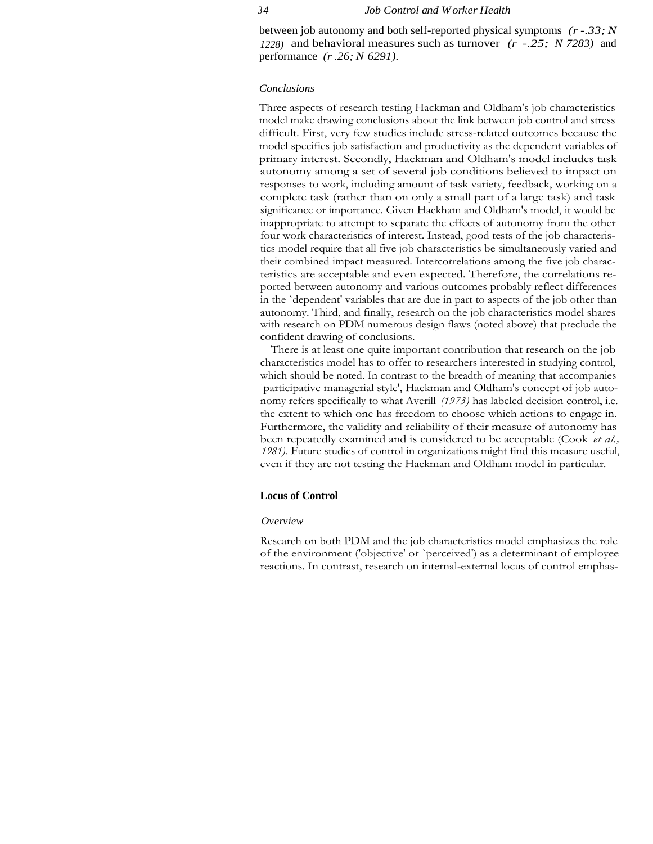between job autonomy and both self-reported physical symptoms *(r -.33; N 1228)* and behavioral measures such as turnover *(r -.25; N 7283)* and performance *(r .26; N 6291).*

# *Conclusions*

Three aspects of research testing Hackman and Oldham's job characteristics model make drawing conclusions about the link between job control and stress difficult. First, very few studies include stress-related outcomes because the model specifies job satisfaction and productivity as the dependent variables of primary interest. Secondly, Hackman and Oldham's model includes task autonomy among a set of several job conditions believed to impact on responses to work, including amount of task variety, feedback, working on a complete task (rather than on only a small part of a large task) and task significance or importance. Given Hackham and Oldham's model, it would be inappropriate to attempt to separate the effects of autonomy from the other four work characteristics of interest. Instead, good tests of the job characteristics model require that all five job characteristics be simultaneously varied and their combined impact measured. Intercorrelations among the five job characteristics are acceptable and even expected. Therefore, the correlations reported between autonomy and various outcomes probably reflect differences in the `dependent' variables that are due in part to aspects of the job other than autonomy. Third, and finally, research on the job characteristics model shares with research on PDM numerous design flaws (noted above) that preclude the confident drawing of conclusions.

There is at least one quite important contribution that research on the job characteristics model has to offer to researchers interested in studying control, which should be noted. In contrast to the breadth of meaning that accompanies 'participative managerial style', Hackman and Oldham's concept of job autonomy refers specifically to what Averill *(1973)* has labeled decision control, i.e. the extent to which one has freedom to choose which actions to engage in. Furthermore, the validity and reliability of their measure of autonomy has been repeatedly examined and is considered to be acceptable (Cook *et al., 1981).* Future studies of control in organizations might find this measure useful, even if they are not testing the Hackman and Oldham model in particular.

# **Locus of Control**

#### *Overview*

Research on both PDM and the job characteristics model emphasizes the role of the environment ('objective' or `perceived') as a determinant of employee reactions. In contrast, research on internal-external locus of control emphas-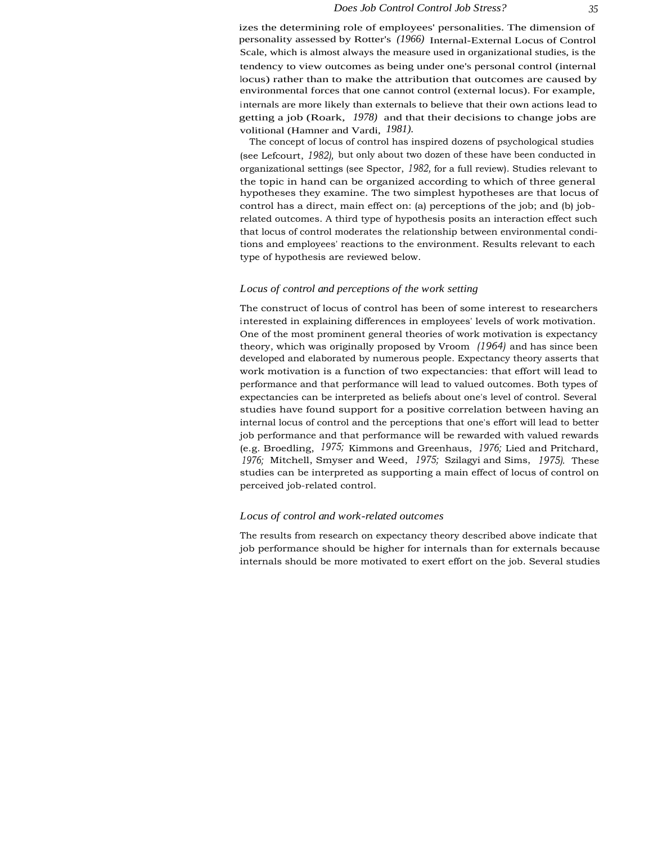The concept of locus of control has inspired dozens of psychological studies (see Lefcourt, *1982),* but only about two dozen of these have been conducted in organizational settings (see Spector, *1982,* for a full review). Studies relevant to the topic in hand can be organized according to which of three general hypotheses they examine. The two simplest hypotheses are that locus of control has a direct, main effect on: (a) perceptions of the job; and (b) jobrelated outcomes. A third type of hypothesis posits an interaction effect such that locus of control moderates the relationship between environmental conditions and employees' reactions to the environment. Results relevant to each type of hypothesis are reviewed below.

#### *Locus of control and perceptions of the work setting*

The construct of locus of control has been of some interest to researchers interested in explaining differences in employees' levels of work motivation. One of the most prominent general theories of work motivation is expectancy theory, which was originally proposed by Vroom *(1964)* and has since been developed and elaborated by numerous people. Expectancy theory asserts that work motivation is a function of two expectancies: that effort will lead to performance and that performance will lead to valued outcomes. Both types of expectancies can be interpreted as beliefs about one's level of control. Several studies have found support for a positive correlation between having an internal locus of control and the perceptions that one's effort will lead to better job performance and that performance will be rewarded with valued rewards (e.g. Broedling, *1975;* Kimmons and Greenhaus, *1976;* Lied and Pritchard, *1976;* Mitchell, Smyser and Weed, *1975;* Szilagyi and Sims, *1975).* These studies can be interpreted as supporting a main effect of locus of control on perceived job-related control.

#### *Locus of control and work-related outcomes*

The results from research on expectancy theory described above indicate that job performance should be higher for internals than for externals because internals should be more motivated to exert effort on the job. Several studies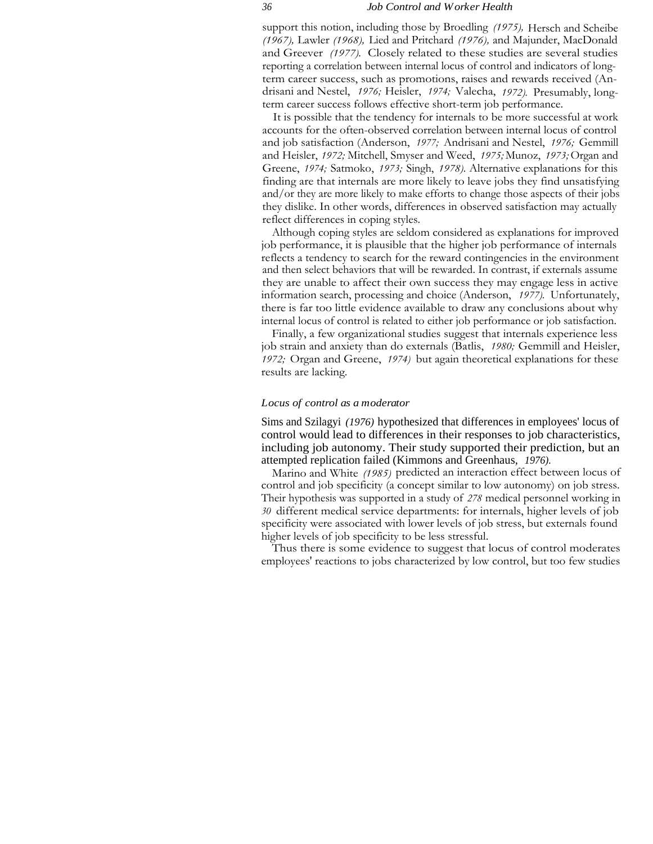support this notion, including those by Broedling *(1975),* Hersch and Scheibe *(1967),* Lawler *(1968),* Lied and Pritchard *(1976),* and Majunder, MacDonald and Greever *(1977).* Closely related to these studies are several studies reporting a correlation between internal locus of control and indicators of longterm career success, such as promotions, raises and rewards received (Andrisani and Nestel, *1976;* Heisler, *1974;* Valecha, *1972).* Presumably, longterm career success follows effective short-term job performance.

It is possible that the tendency for internals to be more successful at work accounts for the often-observed correlation between internal locus of control and job satisfaction (Anderson, *1977;* Andrisani and Nestel, *1976;* Gemmill and Heisler, *1972;* Mitchell, Smyser and Weed, *1975;* Munoz, *1973;* Organ and Greene, *1974;* Satmoko, *1973;* Singh, *1978).* Alternative explanations for this finding are that internals are more likely to leave jobs they find unsatisfying and/or they are more likely to make efforts to change those aspects of their jobs they dislike. In other words, differences in observed satisfaction may actually reflect differences in coping styles.

Although coping styles are seldom considered as explanations for improved job performance, it is plausible that the higher job performance of internals reflects a tendency to search for the reward contingencies in the environment and then select behaviors that will be rewarded. In contrast, if externals assume they are unable to affect their own success they may engage less in active information search, processing and choice (Anderson, *1977).* Unfortunately, there is far too little evidence available to draw any conclusions about why internal locus of control is related to either job performance or job satisfaction.

Finally, a few organizational studies suggest that internals experience less job strain and anxiety than do externals (Batlis, *1980;* Gemmill and Heisler, *1972;* Organ and Greene, *1974)* but again theoretical explanations for these results are lacking.

#### *Locus of control as a moderator*

Sims and Szilagyi *(1976)* hypothesized that differences in employees' locus of control would lead to differences in their responses to job characteristics, including job autonomy. Their study supported their prediction, but an attempted replication failed (Kimmons and Greenhaus, *1976).*

Marino and White *(1985)* predicted an interaction effect between locus of control and job specificity (a concept similar to low autonomy) on job stress. Their hypothesis was supported in a study of *278* medical personnel working in *30* different medical service departments: for internals, higher levels of job specificity were associated with lower levels of job stress, but externals found higher levels of job specificity to be less stressful.

Thus there is some evidence to suggest that locus of control moderates employees' reactions to jobs characterized by low control, but too few studies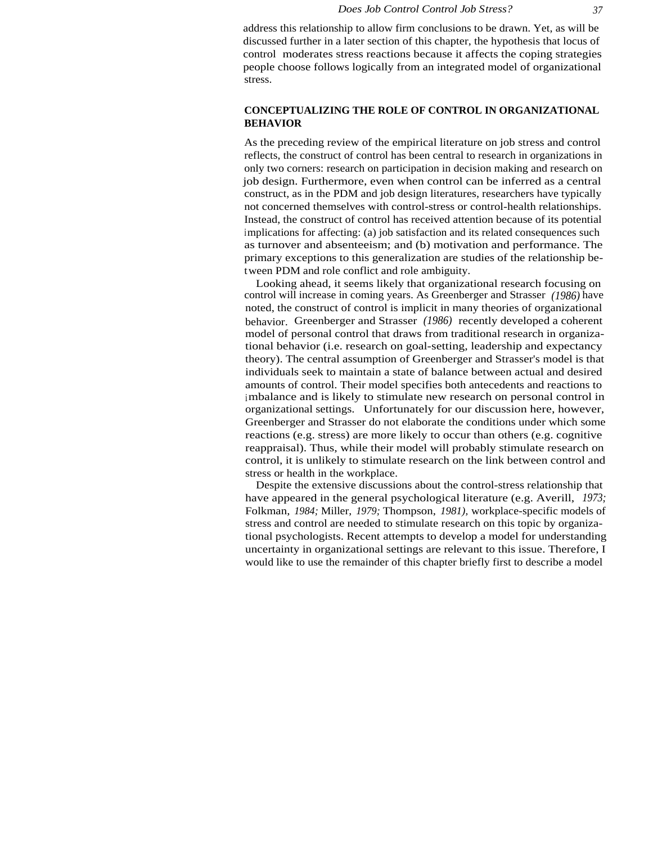address this relationship to allow firm conclusions to be drawn. Yet, as will be discussed further in a later section of this chapter, the hypothesis that locus of control moderates stress reactions because it affects the coping strategies people choose follows logically from an integrated model of organizational stress.

# **CONCEPTUALIZING THE ROLE OF CONTROL IN ORGANIZATIONAL BEHAVIOR**

As the preceding review of the empirical literature on job stress and control reflects, the construct of control has been central to research in organizations in only two corners: research on participation in decision making and research on job design. Furthermore, even when control can be inferred as a central construct, as in the PDM and job design literatures, researchers have typically not concerned themselves with control-stress or control-health relationships. Instead, the construct of control has received attention because of its potential implications for affecting: (a) job satisfaction and its related consequences such as turnover and absenteeism; and (b) motivation and performance. The primary exceptions to this generalization are studies of the relationship between PDM and role conflict and role ambiguity.

Looking ahead, it seems likely that organizational research focusing on control will increase in coming years. As Greenberger and Strasser *(1986)* have noted, the construct of control is implicit in many theories of organizational behavior. Greenberger and Strasser *(1986)* recently developed a coherent model of personal control that draws from traditional research in organizational behavior (i.e. research on goal-setting, leadership and expectancy theory). The central assumption of Greenberger and Strasser's model is that individuals seek to maintain a state of balance between actual and desired amounts of control. Their model specifies both antecedents and reactions to imbalance and is likely to stimulate new research on personal control in organizational settings. Unfortunately for our discussion here, however, Greenberger and Strasser do not elaborate the conditions under which some reactions (e.g. stress) are more likely to occur than others (e.g. cognitive reappraisal). Thus, while their model will probably stimulate research on control, it is unlikely to stimulate research on the link between control and stress or health in the workplace.

Despite the extensive discussions about the control-stress relationship that have appeared in the general psychological literature (e.g. Averill, *1973;* Folkman, *1984;* Miller, *1979;* Thompson, *1981),* workplace-specific models of stress and control are needed to stimulate research on this topic by organizational psychologists. Recent attempts to develop a model for understanding uncertainty in organizational settings are relevant to this issue. Therefore, I would like to use the remainder of this chapter briefly first to describe a model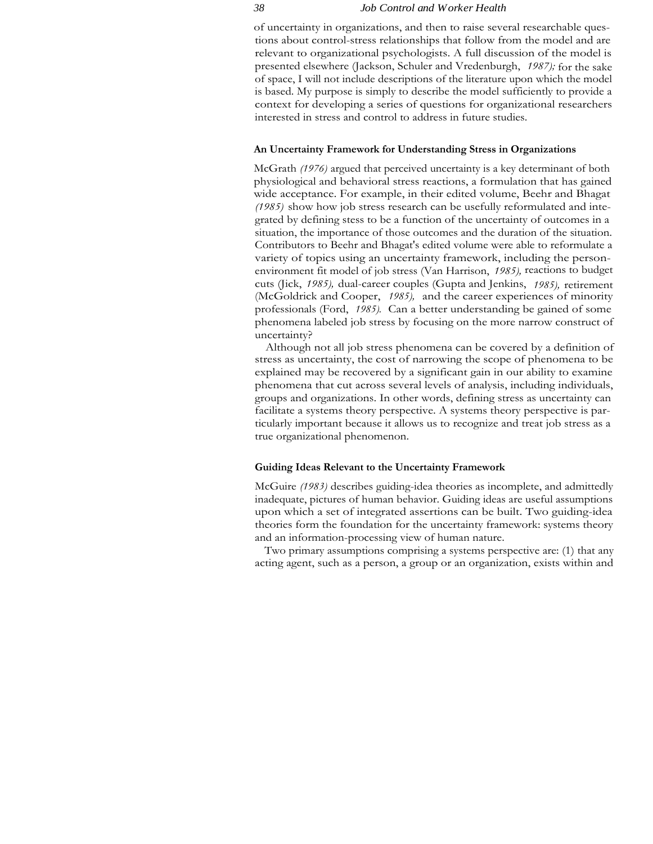of uncertainty in organizations, and then to raise several researchable questions about control-stress relationships that follow from the model and are relevant to organizational psychologists. A full discussion of the model is presented elsewhere (Jackson, Schuler and Vredenburgh, *1987);* for the sake of space, I will not include descriptions of the literature upon which the model is based. My purpose is simply to describe the model sufficiently to provide a context for developing a series of questions for organizational researchers interested in stress and control to address in future studies.

# **An Uncertainty Framework for Understanding Stress in Organizations**

McGrath *(1976)* argued that perceived uncertainty is a key determinant of both physiological and behavioral stress reactions, a formulation that has gained wide acceptance. For example, in their edited volume, Beehr and Bhagat *(1985)* show how job stress research can be usefully reformulated and integrated by defining stess to be a function of the uncertainty of outcomes in a situation, the importance of those outcomes and the duration of the situation. Contributors to Beehr and Bhagat's edited volume were able to reformulate a variety of topics using an uncertainty framework, including the personenvironment fit model of job stress (Van Harrison, *1985),* reactions to budget cuts (Jick, *1985),* dual-career couples (Gupta and Jenkins, *1985),* retirement (McGoldrick and Cooper, *1985),* and the career experiences of minority professionals (Ford, *1985).* Can a better understanding be gained of some phenomena labeled job stress by focusing on the more narrow construct of uncertainty?

Although not all job stress phenomena can be covered by a definition of stress as uncertainty, the cost of narrowing the scope of phenomena to be explained may be recovered by a significant gain in our ability to examine phenomena that cut across several levels of analysis, including individuals, groups and organizations. In other words, defining stress as uncertainty can facilitate a systems theory perspective. A systems theory perspective is particularly important because it allows us to recognize and treat job stress as a true organizational phenomenon.

# **Guiding Ideas Relevant to the Uncertainty Framework**

McGuire *(1983)* describes guiding-idea theories as incomplete, and admittedly inadequate, pictures of human behavior. Guiding ideas are useful assumptions upon which a set of integrated assertions can be built. Two guiding-idea theories form the foundation for the uncertainty framework: systems theory and an information-processing view of human nature.

Two primary assumptions comprising a systems perspective are: (1) that any acting agent, such as a person, a group or an organization, exists within and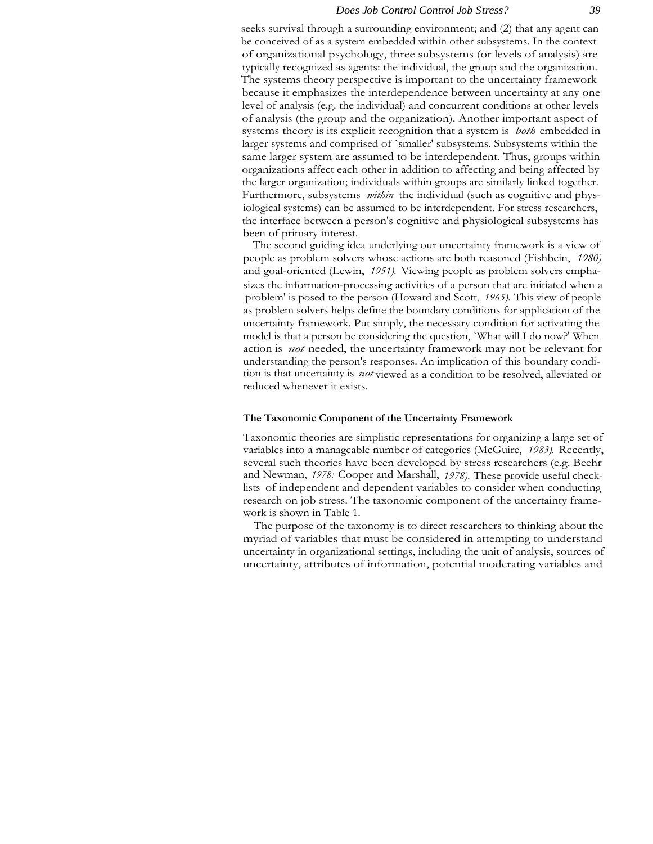seeks survival through a surrounding environment; and (2) that any agent can be conceived of as a system embedded within other subsystems. In the context of organizational psychology, three subsystems (or levels of analysis) are typically recognized as agents: the individual, the group and the organization. The systems theory perspective is important to the uncertainty framework because it emphasizes the interdependence between uncertainty at any one level of analysis (e.g. the individual) and concurrent conditions at other levels of analysis (the group and the organization). Another important aspect of systems theory is its explicit recognition that a system is *both* embedded in larger systems and comprised of `smaller' subsystems. Subsystems within the same larger system are assumed to be interdependent. Thus, groups within organizations affect each other in addition to affecting and being affected by the larger organization; individuals within groups are similarly linked together. Furthermore, subsystems *within* the individual (such as cognitive and physiological systems) can be assumed to be interdependent. For stress researchers, the interface between a person's cognitive and physiological subsystems has been of primary interest.

The second guiding idea underlying our uncertainty framework is a view of people as problem solvers whose actions are both reasoned (Fishbein, *1980)* and goal-oriented (Lewin, *1951).* Viewing people as problem solvers emphasizes the information-processing activities of a person that are initiated when a ` problem' is posed to the person (Howard and Scott, *1965).* This view of people as problem solvers helps define the boundary conditions for application of the uncertainty framework. Put simply, the necessary condition for activating the model is that a person be considering the question, `What will I do now?' When action is *not* needed, the uncertainty framework may not be relevant for understanding the person's responses. An implication of this boundary condition is that uncertainty is *not* viewed as a condition to be resolved, alleviated or reduced whenever it exists.

# **The Taxonomic Component of the Uncertainty Framework**

Taxonomic theories are simplistic representations for organizing a large set of variables into a manageable number of categories (McGuire, *1983).* Recently, several such theories have been developed by stress researchers (e.g. Beehr and Newman, *1978;* Cooper and Marshall, *1978).* These provide useful checklists of independent and dependent variables to consider when conducting research on job stress. The taxonomic component of the uncertainty framework is shown in Table 1.

The purpose of the taxonomy is to direct researchers to thinking about the myriad of variables that must be considered in attempting to understand uncertainty in organizational settings, including the unit of analysis, sources of uncertainty, attributes of information, potential moderating variables and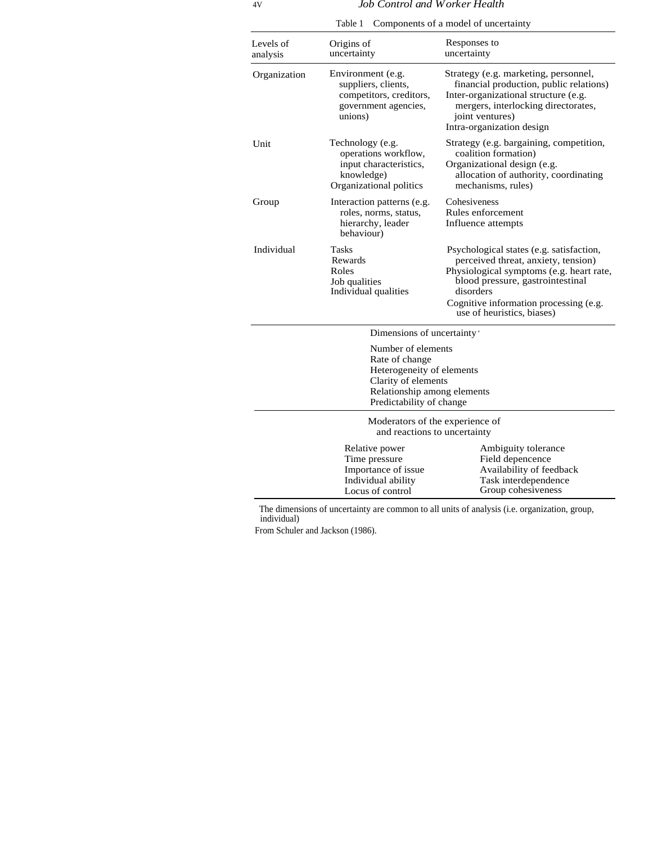Table 1 Components of a model of uncertainty

 $\overline{a}$ 

| Levels of<br>analysis | Origins of<br>uncertainty                                                                                                                           | Responses to<br>uncertainty                                                                                                                                                                                                                          |
|-----------------------|-----------------------------------------------------------------------------------------------------------------------------------------------------|------------------------------------------------------------------------------------------------------------------------------------------------------------------------------------------------------------------------------------------------------|
| Organization          | Environment (e.g.<br>suppliers, clients,<br>competitors, creditors,<br>government agencies,<br>unions)                                              | Strategy (e.g. marketing, personnel,<br>financial production, public relations)<br>Inter-organizational structure (e.g.<br>mergers, interlocking directorates,<br>joint ventures)<br>Intra-organization design                                       |
| Unit                  | Technology (e.g.<br>operations workflow,<br>input characteristics,<br>knowledge)<br>Organizational politics                                         | Strategy (e.g. bargaining, competition,<br>coalition formation)<br>Organizational design (e.g.<br>allocation of authority, coordinating<br>mechanisms, rules)                                                                                        |
| Group                 | Interaction patterns (e.g.<br>roles, norms, status,<br>hierarchy, leader<br>behaviour)                                                              | Cohesiveness<br>Rules enforcement<br>Influence attempts                                                                                                                                                                                              |
| Individual            | Tasks<br>Rewards<br>Roles<br>Job qualities<br>Individual qualities                                                                                  | Psychological states (e.g. satisfaction,<br>perceived threat, anxiety, tension)<br>Physiological symptoms (e.g. heart rate,<br>blood pressure, gastrointestinal<br>disorders<br>Cognitive information processing (e.g.<br>use of heuristics, biases) |
|                       | Dimensions of uncertainty                                                                                                                           |                                                                                                                                                                                                                                                      |
|                       | Number of elements<br>Rate of change<br>Heterogeneity of elements<br>Clarity of elements<br>Relationship among elements<br>Predictability of change |                                                                                                                                                                                                                                                      |
|                       | Moderators of the experience of<br>and reactions to uncertainty                                                                                     |                                                                                                                                                                                                                                                      |
|                       | Relative power<br>Time pressure<br>Importance of issue<br>Individual ability<br>Locus of control                                                    | Ambiguity tolerance<br>Field depencence<br>Availability of feedback<br>Task interdependence<br>Group cohesiveness                                                                                                                                    |

The dimensions of uncertainty are common to all units of analysis (i.e. organization, group, individual)

From Schuler and Jackson (1986).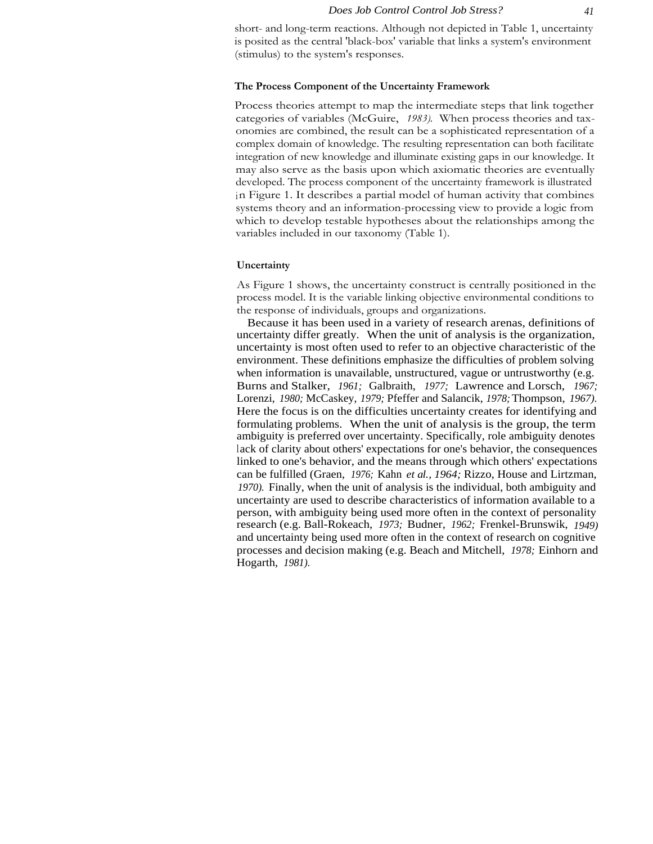short- and long-term reactions. Although not depicted in Table 1, uncertainty is posited as the central 'black-box' variable that links a system's environment (stimulus) to the system's responses.

# **The Process Component of the Uncertainty Framework**

Process theories attempt to map the intermediate steps that link together categories of variables (McGuire, *1983).* When process theories and taxonomies are combined, the result can be a sophisticated representation of a complex domain of knowledge. The resulting representation can both facilitate integration of new knowledge and illuminate existing gaps in our knowledge. It may also serve as the basis upon which axiomatic theories are eventually developed. The process component of the uncertainty framework is illustrated in Figure 1. It describes a partial model of human activity that combines systems theory and an information-processing view to provide a logic from which to develop testable hypotheses about the relationships among the variables included in our taxonomy (Table 1).

# **Uncertainty**

As Figure 1 shows, the uncertainty construct is centrally positioned in the process model. It is the variable linking objective environmental conditions to the response of individuals, groups and organizations.

Because it has been used in a variety of research arenas, definitions of uncertainty differ greatly. When the unit of analysis is the organization, uncertainty is most often used to refer to an objective characteristic of the environment. These definitions emphasize the difficulties of problem solving when information is unavailable, unstructured, vague or untrustworthy (e.g. Burns and Stalker, *1961;* Galbraith, *1977;* Lawrence and Lorsch, *1967;* Lorenzi, *1980;* McCaskey, *1979;* Pfeffer and Salancik, *1978;* Thompson, *1967).* Here the focus is on the difficulties uncertainty creates for identifying and formulating problems. When the unit of analysis is the group, the term ambiguity is preferred over uncertainty. Specifically, role ambiguity denotes lack of clarity about others' expectations for one's behavior, the consequences linked to one's behavior, and the means through which others' expectations can be fulfilled (Graen, *1976;* Kahn *et al., 1964;* Rizzo, House and Lirtzman, *1970).* Finally, when the unit of analysis is the individual, both ambiguity and uncertainty are used to describe characteristics of information available to a person, with ambiguity being used more often in the context of personality research (e.g. Ball-Rokeach, *1973;* Budner, *1962;* Frenkel-Brunswik, *1949)* and uncertainty being used more often in the context of research on cognitive processes and decision making (e.g. Beach and Mitchell, *1978;* Einhorn and Hogarth, *1981).*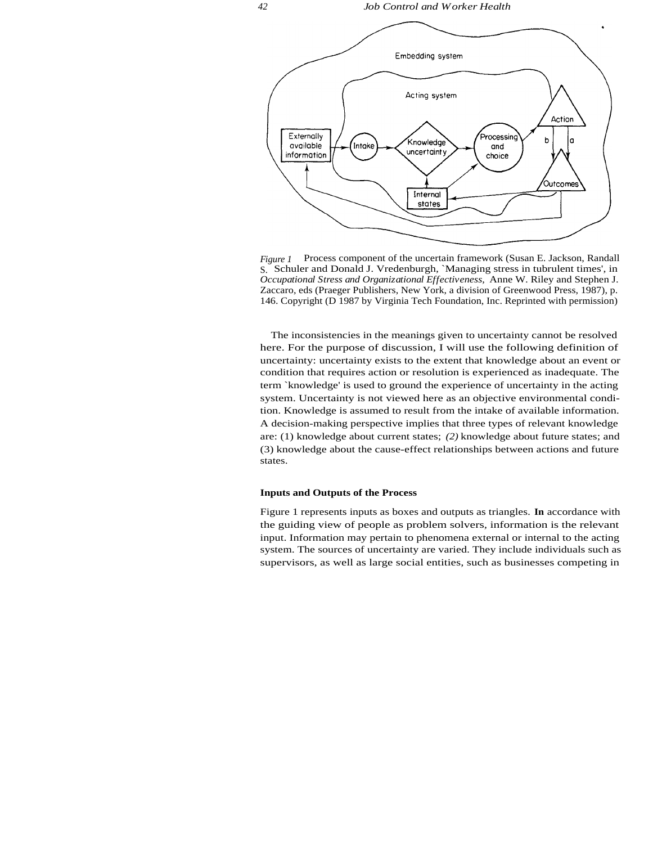

*Figure 1* Process component of the uncertain framework (Susan E. Jackson, Randall S. Schuler and Donald J. Vredenburgh, `Managing stress in tubrulent times', in *Occupational Stress and Organizational Effectiveness,* Anne W. Riley and Stephen J. Zaccaro, eds (Praeger Publishers, New York, a division of Greenwood Press, 1987), p. 146. Copyright (D 1987 by Virginia Tech Foundation, Inc. Reprinted with permission)

The inconsistencies in the meanings given to uncertainty cannot be resolved here. For the purpose of discussion, I will use the following definition of uncertainty: uncertainty exists to the extent that knowledge about an event or condition that requires action or resolution is experienced as inadequate. The term `knowledge' is used to ground the experience of uncertainty in the acting system. Uncertainty is not viewed here as an objective environmental condition. Knowledge is assumed to result from the intake of available information. A decision-making perspective implies that three types of relevant knowledge are: (1) knowledge about current states; *(2)* knowledge about future states; and (3) knowledge about the cause-effect relationships between actions and future states.

#### **Inputs and Outputs of the Process**

Figure 1 represents inputs as boxes and outputs as triangles. **In** accordance with the guiding view of people as problem solvers, information is the relevant input. Information may pertain to phenomena external or internal to the acting system. The sources of uncertainty are varied. They include individuals such as supervisors, as well as large social entities, such as businesses competing in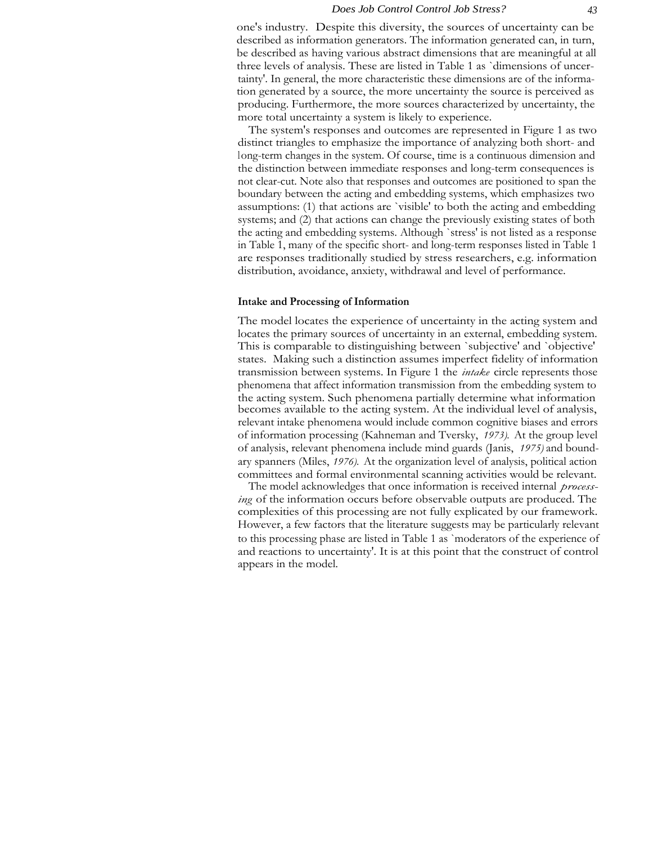one's industry. Despite this diversity, the sources of uncertainty can be described as information generators. The information generated can, in turn, be described as having various abstract dimensions that are meaningful at all three levels of analysis. These are listed in Table 1 as `dimensions of uncertainty'. In general, the more characteristic these dimensions are of the information generated by a source, the more uncertainty the source is perceived as producing. Furthermore, the more sources characterized by uncertainty, the more total uncertainty a system is likely to experience.

The system's responses and outcomes are represented in Figure 1 as two distinct triangles to emphasize the importance of analyzing both short- and long-term changes in the system. Of course, time is a continuous dimension and the distinction between immediate responses and long-term consequences is not clear-cut. Note also that responses and outcomes are positioned to span the boundary between the acting and embedding systems, which emphasizes two assumptions: (1) that actions are `visible' to both the acting and embedding systems; and (2) that actions can change the previously existing states of both the acting and embedding systems. Although `stress' is not listed as a response in Table 1, many of the specific short- and long-term responses listed in Table 1 are responses traditionally studied by stress researchers, e.g. information distribution, avoidance, anxiety, withdrawal and level of performance.

# **Intake and Processing of Information**

The model locates the experience of uncertainty in the acting system and locates the primary sources of uncertainty in an external, embedding system. This is comparable to distinguishing between `subjective' and `objective' states. Making such a distinction assumes imperfect fidelity of information transmission between systems. In Figure 1 the *intake* circle represents those phenomena that affect information transmission from the embedding system to the acting system. Such phenomena partially determine what information becomes available to the acting system. At the individual level of analysis, relevant intake phenomena would include common cognitive biases and errors of information processing (Kahneman and Tversky, *1973).* At the group level of analysis, relevant phenomena include mind guards (Janis, *1975)* and boundary spanners (Miles, *1976).* At the organization level of analysis, political action committees and formal environmental scanning activities would be relevant.

The model acknowledges that once information is received internal *processing* of the information occurs before observable outputs are produced. The complexities of this processing are not fully explicated by our framework. However, a few factors that the literature suggests may be particularly relevant to this processing phase are listed in Table 1 as `moderators of the experience of and reactions to uncertainty'. It is at this point that the construct of control appears in the model.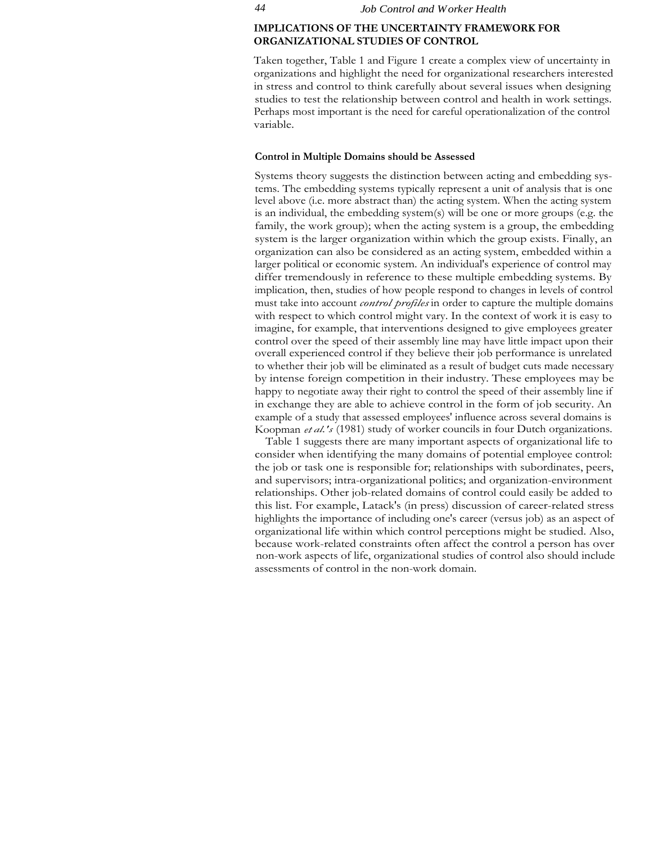# **IMPLICATIONS OF THE UNCERTAINTY FRAMEWORK FOR ORGANIZATIONAL STUDIES OF CONTROL**

Taken together, Table 1 and Figure 1 create a complex view of uncertainty in organizations and highlight the need for organizational researchers interested in stress and control to think carefully about several issues when designing studies to test the relationship between control and health in work settings. Perhaps most important is the need for careful operationalization of the control variable.

# **Control in Multiple Domains should be Assessed**

Systems theory suggests the distinction between acting and embedding systems. The embedding systems typically represent a unit of analysis that is one level above (i.e. more abstract than) the acting system. When the acting system is an individual, the embedding system(s) will be one or more groups (e.g. the family, the work group); when the acting system is a group, the embedding system is the larger organization within which the group exists. Finally, an organization can also be considered as an acting system, embedded within a larger political or economic system. An individual's experience of control may differ tremendously in reference to these multiple embedding systems. By implication, then, studies of how people respond to changes in levels of control must take into account *control profiles* in order to capture the multiple domains with respect to which control might vary. In the context of work it is easy to imagine, for example, that interventions designed to give employees greater control over the speed of their assembly line may have little impact upon their overall experienced control if they believe their job performance is unrelated to whether their job will be eliminated as a result of budget cuts made necessary by intense foreign competition in their industry. These employees may be happy to negotiate away their right to control the speed of their assembly line if in exchange they are able to achieve control in the form of job security. An example of a study that assessed employees' influence across several domains is Koopman *et al.'s* (1981) study of worker councils in four Dutch organizations.

Table 1 suggests there are many important aspects of organizational life to consider when identifying the many domains of potential employee control: the job or task one is responsible for; relationships with subordinates, peers, and supervisors; intra-organizational politics; and organization-environment relationships. Other job-related domains of control could easily be added to this list. For example, Latack's (in press) discussion of career-related stress highlights the importance of including one's career (versus job) as an aspect of organizational life within which control perceptions might be studied. Also, because work-related constraints often affect the control a person has over non-work aspects of life, organizational studies of control also should include assessments of control in the non-work domain.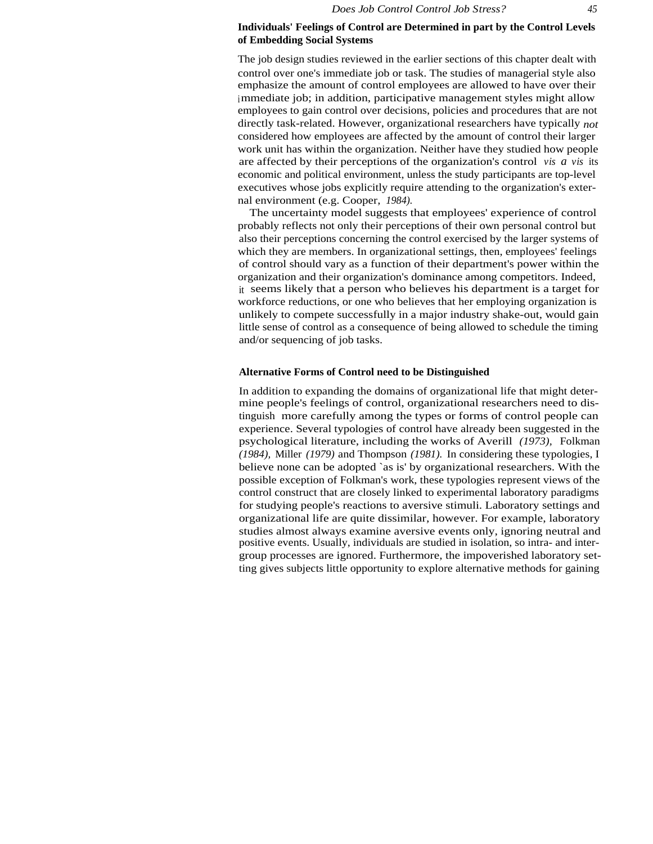The job design studies reviewed in the earlier sections of this chapter dealt with control over one's immediate job or task. The studies of managerial style also emphasize the amount of control employees are allowed to have over their immediate job; in addition, participative management styles might allow employees to gain control over decisions, policies and procedures that are not directly task-related. However, organizational researchers have typically *not* considered how employees are affected by the amount of control their larger work unit has within the organization. Neither have they studied how people are affected by their perceptions of the organization's control *vis a vis* its economic and political environment, unless the study participants are top-level executives whose jobs explicitly require attending to the organization's external environment (e.g. Cooper, *1984).*

The uncertainty model suggests that employees' experience of control probably reflects not only their perceptions of their own personal control but also their perceptions concerning the control exercised by the larger systems of which they are members. In organizational settings, then, employees' feelings of control should vary as a function of their department's power within the organization and their organization's dominance among competitors. Indeed, it seems likely that a person who believes his department is a target for workforce reductions, or one who believes that her employing organization is unlikely to compete successfully in a major industry shake-out, would gain little sense of control as a consequence of being allowed to schedule the timing and/or sequencing of job tasks.

# **Alternative Forms of Control need to be Distinguished**

In addition to expanding the domains of organizational life that might determine people's feelings of control, organizational researchers need to distinguish more carefully among the types or forms of control people can experience. Several typologies of control have already been suggested in the psychological literature, including the works of Averill *(1973),* Folkman *(1984),* Miller *(1979)* and Thompson *(1981).* In considering these typologies, I believe none can be adopted `as is' by organizational researchers. With the possible exception of Folkman's work, these typologies represent views of the control construct that are closely linked to experimental laboratory paradigms for studying people's reactions to aversive stimuli. Laboratory settings and organizational life are quite dissimilar, however. For example, laboratory studies almost always examine aversive events only, ignoring neutral and positive events. Usually, individuals are studied in isolation, so intra- and intergroup processes are ignored. Furthermore, the impoverished laboratory setting gives subjects little opportunity to explore alternative methods for gaining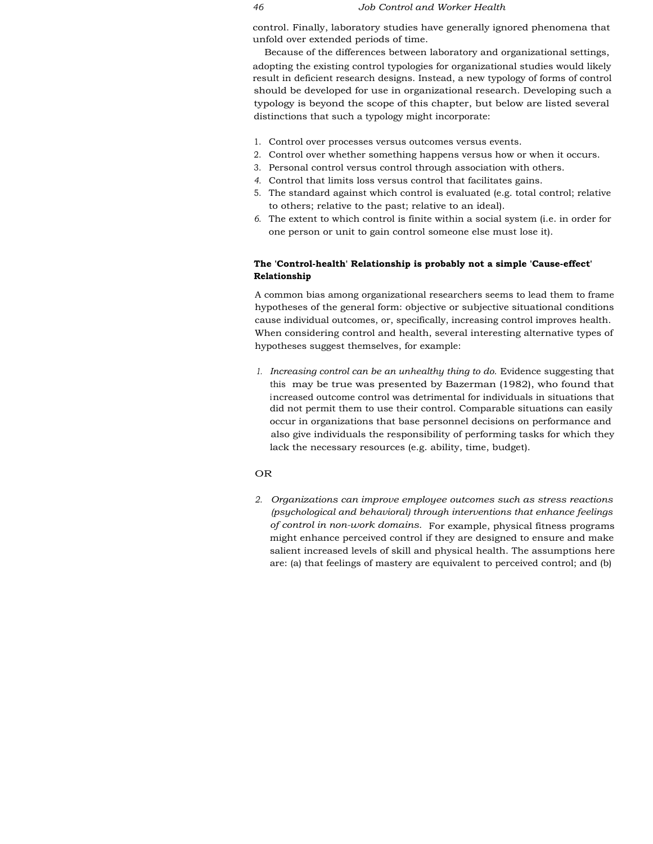control. Finally, laboratory studies have generally ignored phenomena that unfold over extended periods of time.

Because of the differences between laboratory and organizational settings, adopting the existing control typologies for organizational studies would likely result in deficient research designs. Instead, a new typology of forms of control should be developed for use in organizational research. Developing such a typology is beyond the scope of this chapter, but below are listed several distinctions that such a typology might incorporate:

- 1. Control over processes versus outcomes versus events.
- 2. Control over whether something happens versus how or when it occurs.
- 3. Personal control versus control through association with others.
- *4.* Control that limits loss versus control that facilitates gains.
- 5. The standard against which control is evaluated (e.g. total control; relative to others; relative to the past; relative to an ideal).
- *6.* The extent to which control is finite within a social system (i.e. in order for one person or unit to gain control someone else must lose it).

# **The 'Control-health' Relationship is probably not a simple 'Cause-effect' Relationship**

A common bias among organizational researchers seems to lead them to frame hypotheses of the general form: objective or subjective situational conditions cause individual outcomes, or, specifically, increasing control improves health. When considering control and health, several interesting alternative types of hypotheses suggest themselves, for example:

*1. Increasing control can be an unhealthy thing to do.* Evidence suggesting that this may be true was presented by Bazerman (1982), who found that increased outcome control was detrimental for individuals in situations that did not permit them to use their control. Comparable situations can easily occur in organizations that base personnel decisions on performance and also give individuals the responsibility of performing tasks for which they lack the necessary resources (e.g. ability, time, budget).

# OR

*2. Organizations can improve employee outcomes such as stress reactions (psychological and behavioral) through interventions that enhance feelings of control in non-work domains.* For example, physical fitness programs might enhance perceived control if they are designed to ensure and make salient increased levels of skill and physical health. The assumptions here are: (a) that feelings of mastery are equivalent to perceived control; and (b)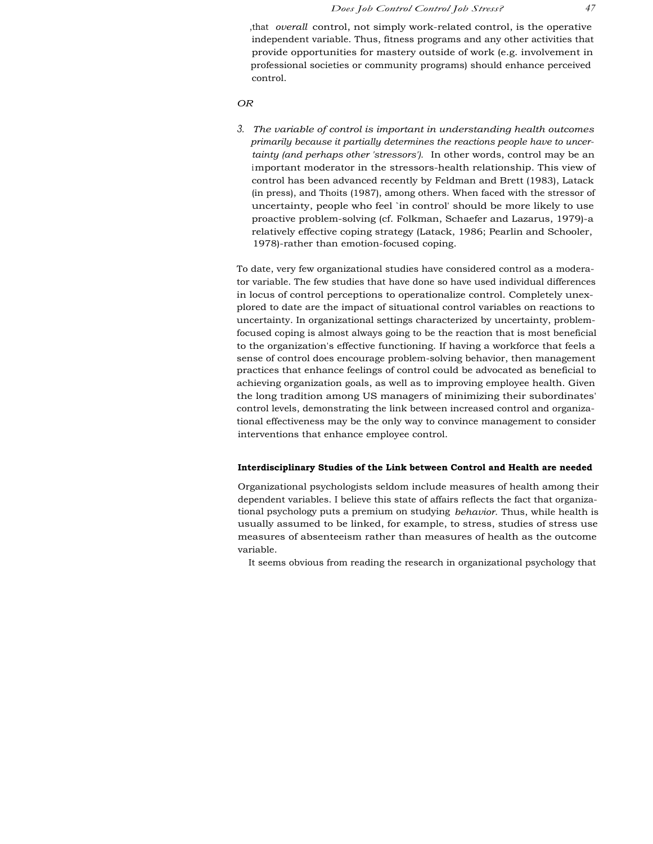,that *overall* control, not simply work-related control, is the operative independent variable. Thus, fitness programs and any other activities that provide opportunities for mastery outside of work (e.g. involvement in professional societies or community programs) should enhance perceived control.

# *OR*

*3. The variable of control is important in understanding health outcomes primarily because it partially determines the reactions people have to uncertainty (and perhaps other 'stressors').* In other words, control may be an important moderator in the stressors-health relationship. This view of control has been advanced recently by Feldman and Brett (1983), Latack (in press), and Thoits (1987), among others. When faced with the stressor of uncertainty, people who feel `in control' should be more likely to use proactive problem-solving (cf. Folkman, Schaefer and Lazarus, 1979)-a relatively effective coping strategy (Latack, 1986; Pearlin and Schooler, 1978)-rather than emotion-focused coping.

To date, very few organizational studies have considered control as a moderator variable. The few studies that have done so have used individual differences in locus of control perceptions to operationalize control. Completely unexplored to date are the impact of situational control variables on reactions to uncertainty. In organizational settings characterized by uncertainty, problemfocused coping is almost always going to be the reaction that is most beneficial to the organization's effective functioning. If having a workforce that feels a sense of control does encourage problem-solving behavior, then management practices that enhance feelings of control could be advocated as beneficial to achieving organization goals, as well as to improving employee health. Given the long tradition among US managers of minimizing their subordinates' control levels, demonstrating the link between increased control and organizational effectiveness may be the only way to convince management to consider interventions that enhance employee control.

#### **Interdisciplinary Studies of the Link between Control and Health are needed**

Organizational psychologists seldom include measures of health among their dependent variables. I believe this state of affairs reflects the fact that organizational psychology puts a premium on studying *behavior.* Thus, while health is usually assumed to be linked, for example, to stress, studies of stress use measures of absenteeism rather than measures of health as the outcome variable.

It seems obvious from reading the research in organizational psychology that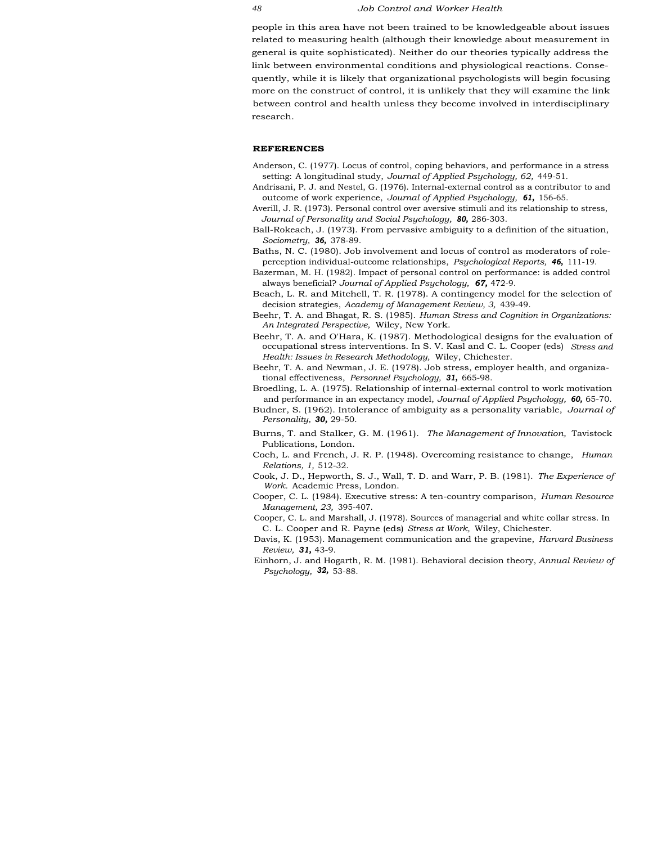people in this area have not been trained to be knowledgeable about issues related to measuring health (although their knowledge about measurement in general is quite sophisticated). Neither do our theories typically address the link between environmental conditions and physiological reactions. Consequently, while it is likely that organizational psychologists will begin focusing more on the construct of control, it is unlikely that they will examine the link between control and health unless they become involved in interdisciplinary research.

#### **REFERENCES**

- Anderson, C. (1977). Locus of control, coping behaviors, and performance in a stress setting: A longitudinal study, *Journal of Applied Psychology, 62,* 449-51.
- Andrisani, P. J. and Nestel, G. (1976). Internal-external control as a contributor to and outcome of work experience, *Journal of Applied Psychology, 61,* 156-65.
- Averill, J. R. (1973). Personal control over aversive stimuli and its relationship to stress, *Journal of Personality and Social Psychology, 80,* 286-303.
- Ball-Rokeach, J. (1973). From pervasive ambiguity to a definition of the situation, *Sociometry, 36,* 378-89.
- Baths, N. C. (1980). Job involvement and locus of control as moderators of roleperception individual-outcome relationships, *Psychological Reports, 46,* 111-19.
- Bazerman, M. H. (1982). Impact of personal control on performance: is added control always beneficial? *Journal of Applied Psychology, 67,* 472-9.
- Beach, L. R. and Mitchell, T. R. (1978). A contingency model for the selection of decision strategies, *Academy of Management Review, 3,* 439-49.
- Beehr, T. A. and Bhagat, R. S. (1985). *Human Stress and Cognition in Organizations: An Integrated Perspective,* Wiley, New York.
- Beehr, T. A. and O'Hara, K. (1987). Methodological designs for the evaluation of occupational stress interventions. In S. V. Kasl and C. L. Cooper (eds) *Stress and Health: Issues in Research Methodology,* Wiley, Chichester.
- Beehr, T. A. and Newman, J. E. (1978). Job stress, employer health, and organizational effectiveness, *Personnel Psychology, 31,* 665-98.
- Broedling, L. A. (1975). Relationship of internal-external control to work motivation and performance in an expectancy model, *Journal of Applied Psychology, 60,* 65-70.
- Budner, S. (1962). Intolerance of ambiguity as a personality variable, *Journal of Personality, 30,* 29-50.
- Burns, T. and Stalker, G. M. (1961). *The Management of Innovation,* Tavistock Publications, London.
- Coch, L. and French, J. R. P. (1948). Overcoming resistance to change, *Human Relations, 1,* 512-32.
- Cook, J. D., Hepworth, S. J., Wall, T. D. and Warr, P. B. (1981). *The Experience of Work.* Academic Press, London.
- Cooper, C. L. (1984). Executive stress: A ten-country comparison, *Human Resource Management, 23,* 395-407.
- Cooper, C. L. and Marshall, J. (1978). Sources of managerial and white collar stress. In C. L. Cooper and R. Payne (eds) *Stress at Work,* Wiley, Chichester.
- Davis, K. (1953). Management communication and the grapevine, *Harvard Business Review, 31,* 43-9.
- Einhorn, J. and Hogarth, R. M. (1981). Behavioral decision theory, *Annual Review of Psychology, 32,* 53-88.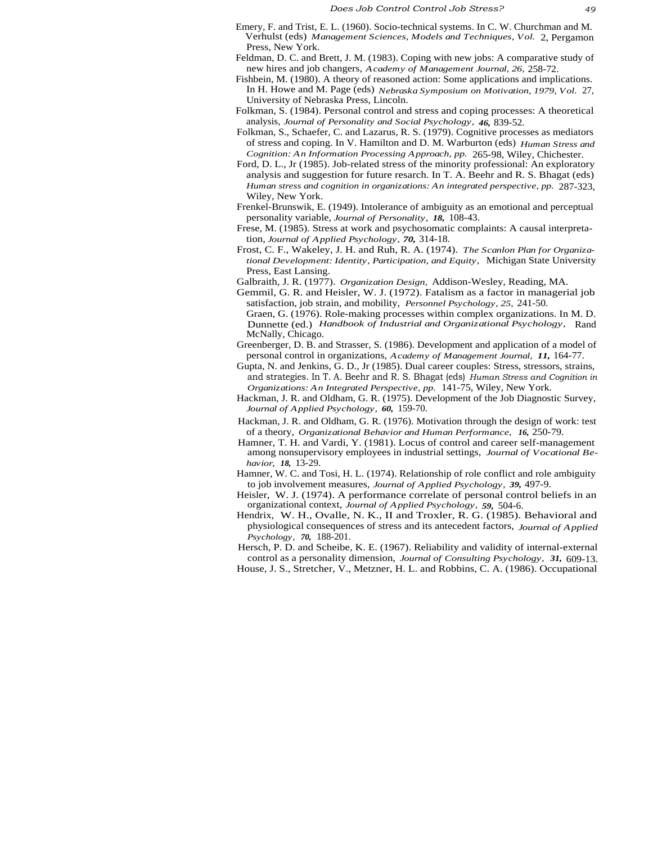- Emery, F. and Trist, E. L. (1960). Socio-technical systems. In C. W. Churchman and M. Verhulst (eds) *Management Sciences, Models and Techniques, Vol.* 2, Pergamon Press, New York.
- Feldman, D. C. and Brett, J. M. (1983). Coping with new jobs: A comparative study of new hires and job changers, *Academy of Management Journal, 26,* 258-72.
- Fishbein, M. (1980). A theory of reasoned action: Some applications and implications. In H. Howe and M. Page (eds) *Nebraska Symposium on Motivation, 1979, Vol.* 27, University of Nebraska Press, Lincoln.
- Folkman, S. (1984). Personal control and stress and coping processes: A theoretical analysis, *Journal of Personality and Social Psychology, 46,* 839-52.
- Folkman, S., Schaefer, C. and Lazarus, R. S. (1979). Cognitive processes as mediators of stress and coping. In V. Hamilton and D. M. Warburton (eds) *Human Stress and Cognition: An Information Processing Approach, pp.* 265-98, Wiley, Chichester.
- Ford, D. L., Jr (1985). Job-related stress of the minority professional: An exploratory analysis and suggestion for future resarch. In T. A. Beehr and R. S. Bhagat (eds) *Human stress and cognition in organizations: An integrated perspective, pp.* 287-323, Wiley, New York.
- Frenkel-Brunswik, E. (1949). Intolerance of ambiguity as an emotional and perceptual personality variable, *Journal of Personality, 18,* 108-43.
- Frese, M. (1985). Stress at work and psychosomatic complaints: A causal interpretation, *Journal of Applied Psychology, 70,* 314-18.
- Frost, C. F., Wakeley, J. H. and Ruh, R. A. (1974). *The Scanlon Plan for Organizational Development: Identity, Participation, and Equity,* Michigan State University Press, East Lansing.
- Galbraith, J. R. (1977). *Organization Design,* Addison-Wesley, Reading, MA.
- Gemmil, G. R. and Heisler, W. J. (1972). Fatalism as a factor in managerial job satisfaction, job strain, and mobility, *Personnel Psychology, 25,* 241-50.
- Graen, G. (1976). Role-making processes within complex organizations. In M. D. Dunnette (ed.) *Handbook of Industrial and Organizational Psychology,* Rand McNally, Chicago.
- Greenberger, D. B. and Strasser, S. (1986). Development and application of a model of personal control in organizations, *Academy of Management Journal, 11,* 164-77.
- Gupta, N. and Jenkins, G. D., Jr (1985). Dual career couples: Stress, stressors, strains, and strategies. In T. A. Beehr and R. S. Bhagat (eds) *Human Stress and Cognition in Organizations: An Integrated Perspective, pp.* 141-75, Wiley, New York.
- Hackman, J. R. and Oldham, G. R. (1975). Development of the Job Diagnostic Survey, *Journal of Applied Psychology, 60,* 159-70.
- Hackman, J. R. and Oldham, G. R. (1976). Motivation through the design of work: test of a theory, *Organizational Behavior and Human Performance, 16,* 250-79.
- Hamner, T. H. and Vardi, Y. (1981). Locus of control and career self-management among nonsupervisory employees in industrial settings, *Journal of Vocational Behavior, 18,* 13-29.
- Hamner, W. C. and Tosi, H. L. (1974). Relationship of role conflict and role ambiguity to job involvement measures, *Journal of Applied Psychology, 39,* 497-9.
- Heisler, W. J. (1974). A performance correlate of personal control beliefs in an organizational context, *Journal of Applied Psychology, 59,* 504-6.
- Hendrix, W. H., Ovalle, N. K., II and Troxler, R. G. (1985). Behavioral and physiological consequences of stress and its antecedent factors, *Journal of Applied Psychology, 70,* 188-201.
- Hersch, P. D. and Scheibe, K. E. (1967). Reliability and validity of internal-external control as a personality dimension, *Journal of Consulting Psychology, 31,* 609-13.
- House, J. S., Stretcher, V., Metzner, H. L. and Robbins, C. A. (1986). Occupational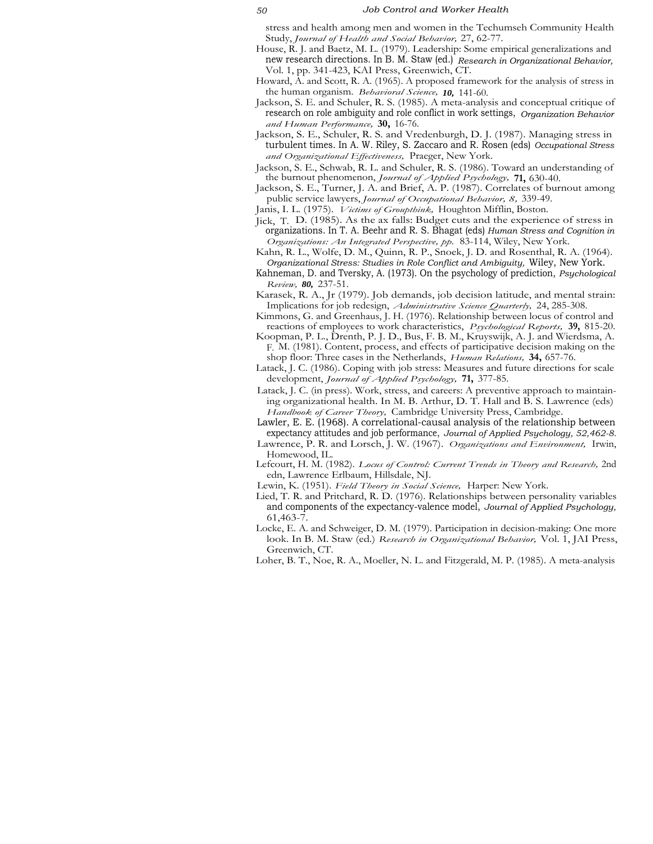stress and health among men and women in the Techumseh Community Health Study, *Journal of Health and Social Behavior,* 27, 62-77.

- House, R. J. and Baetz, M. L. (1979). Leadership: Some empirical generalizations and new research directions. In B. M. Staw (ed.) *Research in Organizational Behavior,* Vol. 1, pp. 341-423, KAI Press, Greenwich, CT.
- Howard, A. and Scott, R. A. (1965). A proposed framework for the analysis of stress in the human organism. *Behavioral Science, 10,* 141-60.
- Jackson, S. E. and Schuler, R. S. (1985). A meta-analysis and conceptual critique of research on role ambiguity and role conflict in work settings, *Organization Behavior and Human Performance,* **30,** 16-76.
- Jackson, S. E., Schuler, R. S. and Vredenburgh, D. J. (1987). Managing stress in turbulent times. In A. W. Riley, S. Zaccaro and R. Rosen (eds) *Occupational Stress and Organizational Effectiveness,* Praeger, New York.
- Jackson, S. E., Schwab, R. L. and Schuler, R. S. (1986). Toward an understanding of the burnout phenomenon, *Journal of Applied Psychology,* **71,** 630-40.
- Jackson, S. E., Turner, J. A. and Brief, A. P. (1987). Correlates of burnout among public service lawyers, *Journal of Occupational Behavior, 8,* 339-49.
- Janis, I. L. (1975). *Victims of Groupthink,* Houghton Mifflin, Boston.
- Jick, T. D. (1985). As the ax falls: Budget cuts and the experience of stress in organizations. In T. A. Beehr and R. S. Bhagat (eds) *Human Stress and Cognition in Organizations: An Integrated Perspective, pp.* 83-114, Wiley, New York.
- Kahn, R. L., Wolfe, D. M., Quinn, R. P., Snoek, J. D. and Rosenthal, R. A. (1964). *Organizational Stress: Studies in Role Conflict and Ambiguity,* Wiley, New York.
- Kahneman, D. and Tversky, A. (1973). On the psychology of prediction, *Psychological Review, 80,* 237-51.
- Karasek, R. A., Jr (1979). Job demands, job decision latitude, and mental strain: Implications for job redesign, *Administrative Science Quarterly,* 24, 285-308.
- Kimmons, G. and Greenhaus, J. H. (1976). Relationship between locus of control and reactions of employees to work characteristics, *Psychological Reports,* **39,** 815-20.
- Koopman, P. L., Drenth, P. J. D., Bus, F. B. M., Kruyswijk, A. J. and Wierdsma, A. F. M. (1981). Content, process, and effects of participative decision making on the shop floor: Three cases in the Netherlands, *Human Relations,* **34,** 657-76.
- Latack, J. C. (1986). Coping with job stress: Measures and future directions for scale development, *Journal of Applied Psychology,* **71,** 377-85.
- Latack, J. C. (in press). Work, stress, and careers: A preventive approach to maintaining organizational health. In M. B. Arthur, D. T. Hall and B. S. Lawrence (eds) *Handbook of Career Theory,* Cambridge University Press, Cambridge.
- Lawler, E. E. (1968). A correlational-causal analysis of the relationship between expectancy attitudes and job performance, *Journal of Applied Psychology, 52,462-8.*
- Lawrence, P. R. and Lorsch, J. W. (1967). *Organizations and Environment,* Irwin, Homewood, IL.
- Lefcourt, H. M. (1982). *Locus of Control: Current Trends in Theory and Research,* 2nd edn, Lawrence Erlbaum, Hillsdale, NJ.
- Lewin, K. (1951). *Field Theory in Social Science,* Harper: New York.
- Lied, T. R. and Pritchard, R. D. (1976). Relationships between personality variables and components of the expectancy-valence model, *Journal of Applied Psychology,* 61,463-7.
- Locke, E. A. and Schweiger, D. M. (1979). Participation in decision-making: One more look. In B. M. Staw (ed.) *Research in Organizational Behavior,* Vol. 1, JAI Press, Greenwich, CT.
- Loher, B. T., Noe, R. A., Moeller, N. L. and Fitzgerald, M. P. (1985). A meta-analysis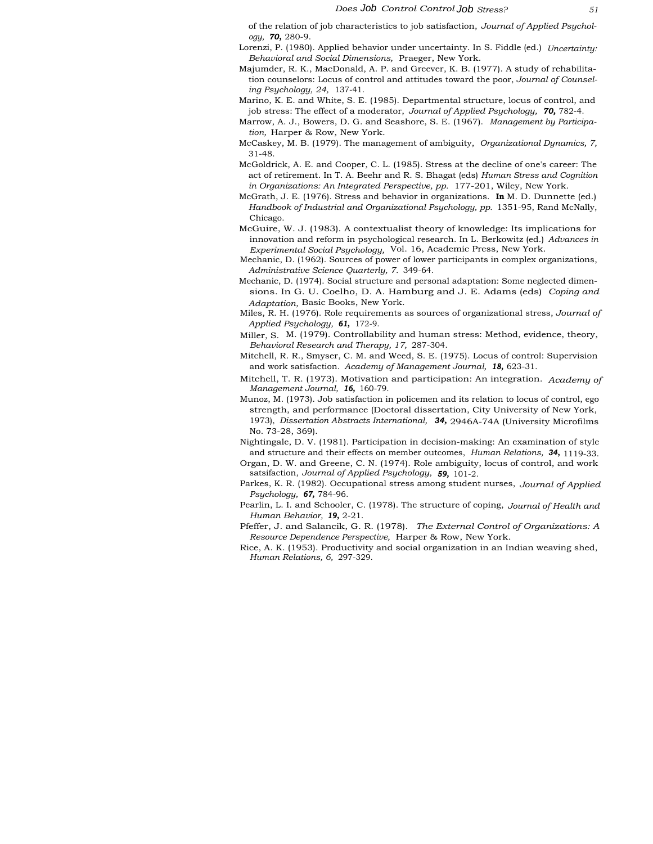of the relation of job characteristics to job satisfaction, *Journal of Applied Psychology, 70,* 280-9.

Lorenzi, P. (1980). Applied behavior under uncertainty. In S. Fiddle (ed.) *Uncertainty: Behavioral and Social Dimensions,* Praeger, New York.

- Majumder, R. K., MacDonald, A. P. and Greever, K. B. (1977). A study of rehabilitation counselors: Locus of control and attitudes toward the poor, *Journal of Counseling Psychology, 24,* 137-41.
- Marino, K. E. and White, S. E. (1985). Departmental structure, locus of control, and job stress: The effect of a moderator, *Journal of Applied Psychology, 70,* 782-4.
- Marrow, A. J., Bowers, D. G. and Seashore, S. E. (1967). *Management by Participation,* Harper & Row, New York.
- McCaskey, M. B. (1979). The management of ambiguity, *Organizational Dynamics, 7,* 31-48.
- McGoldrick, A. E. and Cooper, C. L. (1985). Stress at the decline of one's career: The act of retirement. In T. A. Beehr and R. S. Bhagat (eds) *Human Stress and Cognition in Organizations: An Integrated Perspective, pp.* 177-201, Wiley, New York.
- McGrath, J. E. (1976). Stress and behavior in organizations. **In** M. D. Dunnette (ed.) *Handbook of Industrial and Organizational Psychology, pp.* 1351-95, Rand McNally, Chicago.
- McGuire, W. J. (1983). A contextualist theory of knowledge: Its implications for innovation and reform in psychological research. In L. Berkowitz (ed.) *Advances in Experimental Social Psychology,* Vol. 16, Academic Press, New York.
- Mechanic, D. (1962). Sources of power of lower participants in complex organizations, *Administrative Science Quarterly, 7.* 349-64.
- Mechanic, D. (1974). Social structure and personal adaptation: Some neglected dimensions. In G. U. Coelho, D. A. Hamburg and J. E. Adams (eds) *Coping and Adaptation,* Basic Books, New York.
- Miles, R. H. (1976). Role requirements as sources of organizational stress, *Journal of Applied Psychology, 61,* 172-9.
- Miller, S. M. (1979). Controllability and human stress: Method, evidence, theory, *Behavioral Research and Therapy, 17,* 287-304.
- Mitchell, R. R., Smyser, C. M. and Weed, S. E. (1975). Locus of control: Supervision and work satisfaction. *Academy of Management Journal, 18,* 623-31.
- Mitchell, T. R. (1973). Motivation and participation: An integration. *Academy of Management Journal, 16,* 160-79.
- Munoz, M. (1973). Job satisfaction in policemen and its relation to locus of control, ego strength, and performance (Doctoral dissertation, City University of New York, 1973), *Dissertation Abstracts International, 34,* 2946A-74A (University Microfilms No. 73-28, 369).
- Nightingale, D. V. (1981). Participation in decision-making: An examination of style and structure and their effects on member outcomes, *Human Relations, 34,* 1119-33.
- Organ, D. W. and Greene, C. N. (1974). Role ambiguity, locus of control, and work satsifaction, *Journal of Applied Psychology, 59,* 101-2.
- Parkes, K. R. (1982). Occupational stress among student nurses, *Journal of Applied Psychology, 67,* 784-96.
- Pearlin, L. I. and Schooler, C. (1978). The structure of coping, *Journal of Health and Human Behavior, 19,* 2-21.
- Pfeffer, J. and Salancik, G. R. (1978). *The External Control of Organizations: A Resource Dependence Perspective,* Harper & Row, New York.
- Rice, A. K. (1953). Productivity and social organization in an Indian weaving shed, *Human Relations, 6,* 297-329.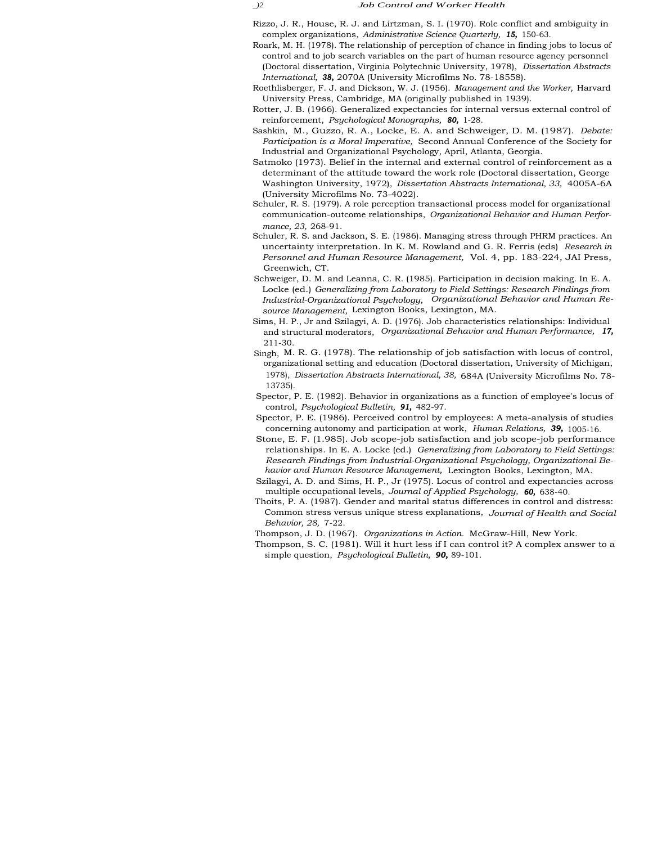Rizzo, J. R., House, R. J. and Lirtzman, S. I. (1970). Role conflict and ambiguity in complex organizations, *Administrative Science Quarterly, 15,* 150-63.

- Roark, M. H. (1978). The relationship of perception of chance in finding jobs to locus of control and to job search variables on the part of human resource agency personnel (Doctoral dissertation, Virginia Polytechnic University, 1978), *Dissertation Abstracts International, 38,* 2070A (University Microfilms No. 78-18558).
- Roethlisberger, F. J. and Dickson, W. J. (1956). *Management and the Worker,* Harvard University Press, Cambridge, MA (originally published in 1939).
- Rotter, J. B. (1966). Generalized expectancies for internal versus external control of reinforcement, *Psychological Monographs, 80,* 1-28.
- Sashkin, M., Guzzo, R. A., Locke, E. A. and Schweiger, D. M. (1987). *Debate: Participation is a Moral Imperative,* Second Annual Conference of the Society for Industrial and Organizational Psychology, April, Atlanta, Georgia.
- Satmoko (1973). Belief in the internal and external control of reinforcement as a determinant of the attitude toward the work role (Doctoral dissertation, George Washington University, 1972), *Dissertation Abstracts International, 33,* 4005A-6A (University Microfilms No. 73-4022).
- Schuler, R. S. (1979). A role perception transactional process model for organizational communication-outcome relationships, *Organizational Behavior and Human Performance, 23,* 268-91.
- Schuler, R. S. and Jackson, S. E. (1986). Managing stress through PHRM practices. An uncertainty interpretation. In K. M. Rowland and G. R. Ferris (eds) *Research in Personnel and Human Resource Management,* Vol. 4, pp. 183-224, JAI Press, Greenwich, CT.
- Schweiger, D. M. and Leanna, C. R. (1985). Participation in decision making. In E. A. Locke (ed.) *Generalizing from Laboratory to Field Settings: Research Findings from Industrial-Organizational Psychology, Organizational Behavior and Human Resource Management,* Lexington Books, Lexington, MA.
- Sims, H. P., Jr and Szilagyi, A. D. (1976). Job characteristics relationships: Individual and structural moderators, *Organizational Behavior and Human Performance, 17,* 211-30.
- Singh, M. R. G. (1978). The relationship of job satisfaction with locus of control, organizational setting and education (Doctoral dissertation, University of Michigan, 1978), *Dissertation Abstracts International, 38,* 684A (University Microfilms No. 78- 13735).
- Spector, P. E. (1982). Behavior in organizations as a function of employee's locus of control, *Psychological Bulletin, 91,* 482-97.
- Spector, P. E. (1986). Perceived control by employees: A meta-analysis of studies concerning autonomy and participation at work, *Human Relations, 39,* 1005-16.
- Stone, E. F. (1.985). Job scope-job satisfaction and job scope-job performance relationships. In E. A. Locke (ed.) *Generalizing from Laboratory to Field Settings: Research Findings from Industrial-Organizational Psychology, Organizational Behavior and Human Resource Management,* Lexington Books, Lexington, MA.
- Szilagyi, A. D. and Sims, H. P., Jr (1975). Locus of control and expectancies across multiple occupational levels, *Journal of Applied Psychology, 60,* 638-40.
- Thoits, P. A. (1987). Gender and marital status differences in control and distress: Common stress versus unique stress explanations, *Journal of Health and Social Behavior, 28,* 7-22.
- Thompson, J. D. (1967). *Organizations in Action.* McGraw-Hill, New York.
- Thompson, S. C. (1981). Will it hurt less if I can control it? A complex answer to a simple question, *Psychological Bulletin, 90,* 89-101.